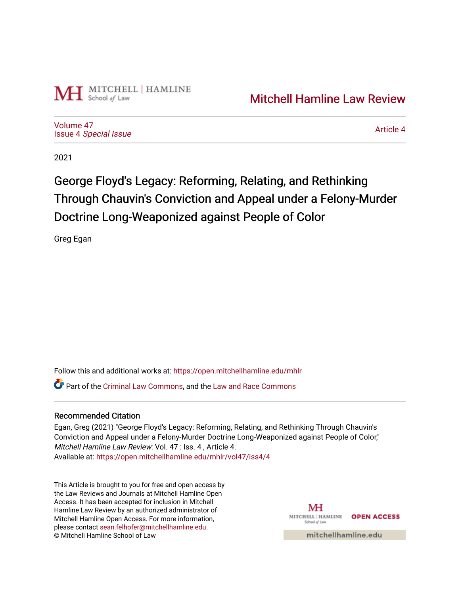

[Volume 47](https://open.mitchellhamline.edu/mhlr/vol47) Issue 4 [Special Issue](https://open.mitchellhamline.edu/mhlr/vol47/iss4)

[Article 4](https://open.mitchellhamline.edu/mhlr/vol47/iss4/4) 

2021

# George Floyd's Legacy: Reforming, Relating, and Rethinking Through Chauvin's Conviction and Appeal under a Felony-Murder Doctrine Long-Weaponized against People of Color

Greg Egan

Follow this and additional works at: [https://open.mitchellhamline.edu/mhlr](https://open.mitchellhamline.edu/mhlr?utm_source=open.mitchellhamline.edu%2Fmhlr%2Fvol47%2Fiss4%2F4&utm_medium=PDF&utm_campaign=PDFCoverPages) 

**C**<sup> $\bullet$ </sup> Part of the [Criminal Law Commons,](http://network.bepress.com/hgg/discipline/912?utm_source=open.mitchellhamline.edu%2Fmhlr%2Fvol47%2Fiss4%2F4&utm_medium=PDF&utm_campaign=PDFCoverPages) and the [Law and Race Commons](http://network.bepress.com/hgg/discipline/1300?utm_source=open.mitchellhamline.edu%2Fmhlr%2Fvol47%2Fiss4%2F4&utm_medium=PDF&utm_campaign=PDFCoverPages)

# Recommended Citation

Egan, Greg (2021) "George Floyd's Legacy: Reforming, Relating, and Rethinking Through Chauvin's Conviction and Appeal under a Felony-Murder Doctrine Long-Weaponized against People of Color," Mitchell Hamline Law Review: Vol. 47 : Iss. 4 , Article 4. Available at: [https://open.mitchellhamline.edu/mhlr/vol47/iss4/4](https://open.mitchellhamline.edu/mhlr/vol47/iss4/4?utm_source=open.mitchellhamline.edu%2Fmhlr%2Fvol47%2Fiss4%2F4&utm_medium=PDF&utm_campaign=PDFCoverPages) 

This Article is brought to you for free and open access by the Law Reviews and Journals at Mitchell Hamline Open Access. It has been accepted for inclusion in Mitchell Hamline Law Review by an authorized administrator of Mitchell Hamline Open Access. For more information, please contact [sean.felhofer@mitchellhamline.edu.](mailto:sean.felhofer@mitchellhamline.edu) © Mitchell Hamline School of Law

MH MITCHELL | HAMLINE **OPEN ACCESS** School of Lav

mitchellhamline.edu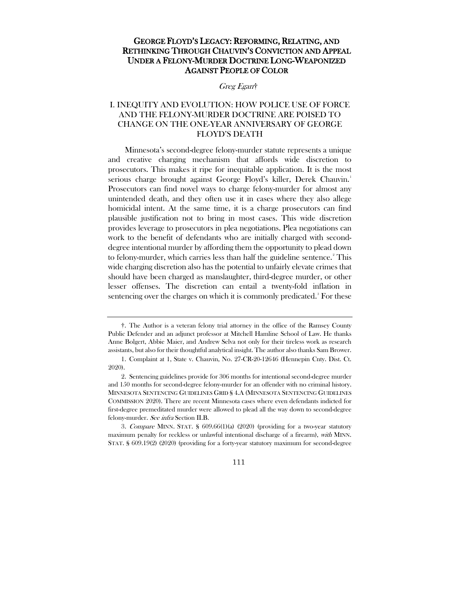## GEORGE FLOYD'S LEGACY: REFORMING, RELATING, AND RETHINKING THROUGH CHAUVIN'S CONVICTION AND APPEAL UNDER A FELONY-MURDER DOCTRINE LONG-WEAPONIZED AGAINST PEOPLE OF COLOR

#### Greg Egan[†](#page-1-0)

## I. INEQUITY AND EVOLUTION: HOW POLICE USE OF FORCE AND THE FELONY-MURDER DOCTRINE ARE POISED TO CHANGE ON THE ONE-YEAR ANNIVERSARY OF GEORGE FLOYD'S DEATH

Minnesota's second-degree felony-murder statute represents a unique and creative charging mechanism that affords wide discretion to prosecutors. This makes it ripe for inequitable application. It is the most serious charge brought against George Floyd's killer, Derek Chauvin.<sup>[1](#page-1-1)</sup> Prosecutors can find novel ways to charge felony-murder for almost any unintended death, and they often use it in cases where they also allege homicidal intent. At the same time, it is a charge prosecutors can find plausible justification not to bring in most cases. This wide discretion provides leverage to prosecutors in plea negotiations. Plea negotiations can work to the benefit of defendants who are initially charged with seconddegree intentional murder by affording them the opportunity to plead down to felony-murder, which carries less than half the guideline sentence.<sup>[2](#page-1-2)</sup> This wide charging discretion also has the potential to unfairly elevate crimes that should have been charged as manslaughter, third-degree murder, or other lesser offenses. The discretion can entail a twenty-fold inflation in sentencing over the charges on which it is commonly predicated.<sup>[3](#page-1-3)</sup> For these

111

<span id="page-1-0"></span><sup>†.</sup> The Author is a veteran felony trial attorney in the office of the Ramsey County Public Defender and an adjunct professor at Mitchell Hamline School of Law. He thanks Anne Bolgert, Abbie Maier, and Andrew Selva not only for their tireless work as research assistants, but also for their thoughtful analytical insight. The author also thanks Sam Brower.

<span id="page-1-1"></span><sup>1.</sup> Complaint at 1, State v. Chauvin, No. 27-CR-20-12646 (Hennepin Cnty. Dist. Ct. 2020).

<span id="page-1-2"></span><sup>2.</sup> Sentencing guidelines provide for 306 months for intentional second-degree murder and 150 months for second-degree felony-murder for an offender with no criminal history. MINNESOTA SENTENCING GUIDELINES GRID § 4.A (MINNESOTA SENTENCING GUIDELINES COMMISSION 2020). There are recent Minnesota cases where even defendants indicted for first-degree premeditated murder were allowed to plead all the way down to second-degree felony-murder. See infra Section II.B.

<span id="page-1-3"></span><sup>3</sup>. Compare MINN. STAT. § 609.66(1)(a) (2020) (providing for a two-year statutory maximum penalty for reckless or unlawful intentional discharge of a firearm), with MINN. STAT. § 609.19(2) (2020) (providing for a forty-year statutory maximum for second-degree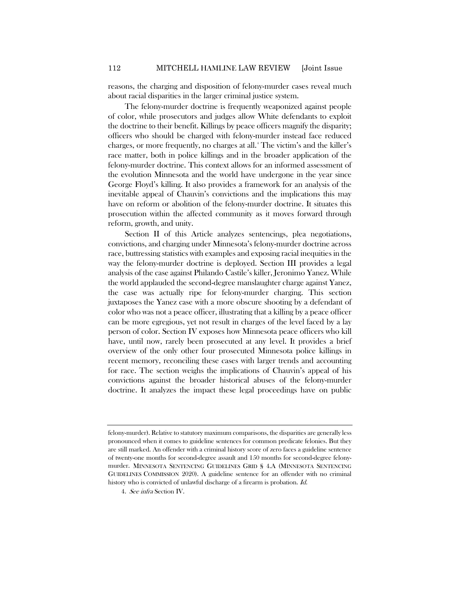reasons, the charging and disposition of felony-murder cases reveal much about racial disparities in the larger criminal justice system.

The felony-murder doctrine is frequently weaponized against people of color, while prosecutors and judges allow White defendants to exploit the doctrine to their benefit. Killings by peace officers magnify the disparity; officers who should be charged with felony-murder instead face reduced charges, or more frequently, no charges at all.[4](#page-2-0) The victim's and the killer's race matter, both in police killings and in the broader application of the felony-murder doctrine. This context allows for an informed assessment of the evolution Minnesota and the world have undergone in the year since George Floyd's killing. It also provides a framework for an analysis of the inevitable appeal of Chauvin's convictions and the implications this may have on reform or abolition of the felony-murder doctrine. It situates this prosecution within the affected community as it moves forward through reform, growth, and unity.

Section II of this Article analyzes sentencings, plea negotiations, convictions, and charging under Minnesota's felony-murder doctrine across race, buttressing statistics with examples and exposing racial inequities in the way the felony-murder doctrine is deployed. Section III provides a legal analysis of the case against Philando Castile's killer, Jeronimo Yanez. While the world applauded the second-degree manslaughter charge against Yanez, the case was actually ripe for felony-murder charging. This section juxtaposes the Yanez case with a more obscure shooting by a defendant of color who was not a peace officer, illustrating that a killing by a peace officer can be more egregious, yet not result in charges of the level faced by a lay person of color. Section IV exposes how Minnesota peace officers who kill have, until now, rarely been prosecuted at any level. It provides a brief overview of the only other four prosecuted Minnesota police killings in recent memory, reconciling these cases with larger trends and accounting for race. The section weighs the implications of Chauvin's appeal of his convictions against the broader historical abuses of the felony-murder doctrine. It analyzes the impact these legal proceedings have on public

felony-murder). Relative to statutory maximum comparisons, the disparities are generally less pronounced when it comes to guideline sentences for common predicate felonies. But they are still marked. An offender with a criminal history score of zero faces a guideline sentence of twenty-one months for second-degree assault and 150 months for second-degree felonymurder. MINNESOTA SENTENCING GUIDELINES GRID § 4.A (MINNESOTA SENTENCING GUIDELINES COMMISSION 2020). A guideline sentence for an offender with no criminal history who is convicted of unlawful discharge of a firearm is probation. Id.

<span id="page-2-0"></span><sup>4</sup>. See infra Section IV.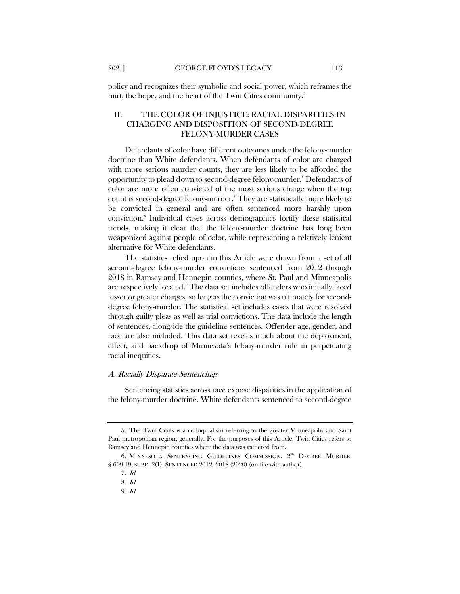policy and recognizes their symbolic and social power, which reframes the hurt, the hope, and the heart of the Twin Cities community.<sup>[5](#page-3-0)</sup>

### II. THE COLOR OF INJUSTICE: RACIAL DISPARITIES IN CHARGING AND DISPOSITION OF SECOND-DEGREE FELONY-MURDER CASES

<span id="page-3-5"></span>Defendants of color have different outcomes under the felony-murder doctrine than White defendants. When defendants of color are charged with more serious murder counts, they are less likely to be afforded the opportunity to plead down to second-degree felony-murder.[6](#page-3-1) Defendants of color are more often convicted of the most serious charge when the top count is second-degree felony-murder.[7](#page-3-2) They are statistically more likely to be convicted in general and are often sentenced more harshly upon conviction.[8](#page-3-3) Individual cases across demographics fortify these statistical trends, making it clear that the felony-murder doctrine has long been weaponized against people of color, while representing a relatively lenient alternative for White defendants.

The statistics relied upon in this Article were drawn from a set of all second-degree felony-murder convictions sentenced from 2012 through 2018 in Ramsey and Hennepin counties, where St. Paul and Minneapolis are respectively located. [9](#page-3-4) The data set includes offenders who initially faced lesser or greater charges, so long as the conviction was ultimately for seconddegree felony-murder. The statistical set includes cases that were resolved through guilty pleas as well as trial convictions. The data include the length of sentences, alongside the guideline sentences. Offender age, gender, and race are also included. This data set reveals much about the deployment, effect, and backdrop of Minnesota's felony-murder rule in perpetuating racial inequities.

#### A. Racially Disparate Sentencings

Sentencing statistics across race expose disparities in the application of the felony-murder doctrine. White defendants sentenced to second-degree

<span id="page-3-0"></span><sup>5.</sup> The Twin Cities is a colloquialism referring to the greater Minneapolis and Saint Paul metropolitan region, generally. For the purposes of this Article, Twin Cities refers to Ramsey and Hennepin counties where the data was gathered from.

<span id="page-3-4"></span><span id="page-3-3"></span><span id="page-3-2"></span><span id="page-3-1"></span><sup>6.</sup> MINNESOTA SENTENCING GUIDELINES COMMISSION, 2<sup>ND</sup> DEGREE MURDER, § 609.19, SUBD. 2(1): SENTENCED 2012–2018 (2020) (on file with author).

<sup>7</sup>. Id.

<sup>8</sup>. Id.

<sup>9</sup>. Id.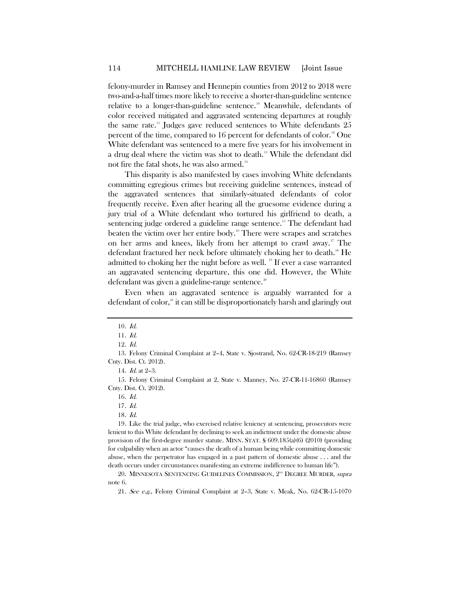felony-murder in Ramsey and Hennepin counties from 2012 to 2018 were two-and-a-half times more likely to receive a shorter-than-guideline sentence relative to a longer-than-guideline sentence.<sup>[10](#page-4-0)</sup> Meanwhile, defendants of color received mitigated and aggravated sentencing departures at roughly the same rate.<sup>11</sup> Judges gave reduced sentences to White defendants 25 percent of the time, compared to 16 percent for defendants of color.<sup>[12](#page-4-2)</sup> One White defendant was sentenced to a mere five years for his involvement in a drug deal where the victim was shot to death. [13](#page-4-3) While the defendant did not fire the fatal shots, he was also armed.<sup>[14](#page-4-4)</sup>

This disparity is also manifested by cases involving White defendants committing egregious crimes but receiving guideline sentences, instead of the aggravated sentences that similarly-situated defendants of color frequently receive. Even after hearing all the gruesome evidence during a jury trial of a White defendant who tortured his girlfriend to death, a sentencing judge ordered a guideline range sentence.<sup>[15](#page-4-5)</sup> The defendant had beaten the victim over her entire body.[16](#page-4-6) There were scrapes and scratches on her arms and knees, likely from her attempt to crawl away.<sup>[17](#page-4-7)</sup> The defendant fractured her neck before ultimately choking her to death.<sup>[18](#page-4-8)</sup> He admitted to choking her the night before as well. <sup>[19](#page-4-9)</sup> If ever a case warranted an aggravated sentencing departure, this one did. However, the White defendant was given a guideline-range sentence.<sup>[20](#page-4-10)</sup>

Even when an aggravated sentence is arguably warranted for a defendant of color, $2<sup>1</sup>$  it can still be disproportionately harsh and glaringly out

14. Id. at 2–3.

<span id="page-4-9"></span><span id="page-4-8"></span><span id="page-4-7"></span>19. Like the trial judge, who exercised relative leniency at sentencing, prosecutors were lenient to this White defendant by declining to seek an indictment under the domestic abuse provision of the first-degree murder statute. MINN. STAT. § 609.185(a)(6) (2010) (providing for culpability when an actor "causes the death of a human being while committing domestic abuse, when the perpetrator has engaged in a past pattern of domestic abuse . . . and the death occurs under circumstances manifesting an extreme indifference to human life").

<sup>10</sup>. Id.

<sup>11</sup>. Id.

<sup>12</sup>. Id.

<span id="page-4-3"></span><span id="page-4-2"></span><span id="page-4-1"></span><span id="page-4-0"></span><sup>13.</sup> Felony Criminal Complaint at 2–4, State v. Sjostrand, No. 62-CR-18-219 (Ramsey Cnty. Dist. Ct. 2012).

<span id="page-4-6"></span><span id="page-4-5"></span><span id="page-4-4"></span><sup>15.</sup> Felony Criminal Complaint at 2, State v. Manney, No. 27-CR-11-16860 (Ramsey Cnty. Dist. Ct. 2012).

<sup>16</sup>. Id.

<sup>17</sup>. Id.

<sup>18</sup>. Id.

<span id="page-4-11"></span><span id="page-4-10"></span><sup>20.</sup> MINNESOTA SENTENCING GUIDELINES COMMISSION, 2<sup>ND</sup> DEGREE MURDER, supra note [6.](#page-3-5)

<sup>21</sup>. See e.g., Felony Criminal Complaint at 2–3, State v. Meak, No. 62-CR-15-1070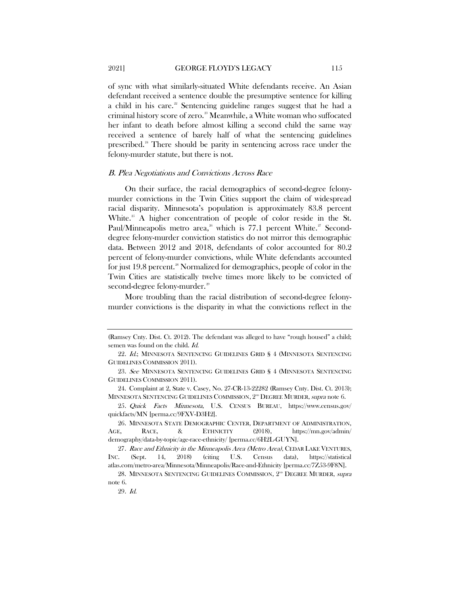of sync with what similarly-situated White defendants receive. An Asian defendant received a sentence double the presumptive sentence for killing a child in his care.<sup>[22](#page-5-0)</sup> Sentencing guideline ranges suggest that he had a criminal history score of zero.<sup>[23](#page-5-1)</sup> Meanwhile, a White woman who suffocated her infant to death before almost killing a second child the same way received a sentence of barely half of what the sentencing guidelines prescribed.<sup>[24](#page-5-2)</sup> There should be parity in sentencing across race under the felony-murder statute, but there is not.

#### B. Plea Negotiations and Convictions Across Race

On their surface, the racial demographics of second-degree felonymurder convictions in the Twin Cities support the claim of widespread racial disparity. Minnesota's population is approximately 83.8 percent White.<sup>[25](#page-5-3)</sup> A higher concentration of people of color reside in the St. Paul/Minneapolis metro area,<sup>[26](#page-5-4)</sup> which is 77.1 percent White.<sup>[27](#page-5-5)</sup> Seconddegree felony-murder conviction statistics do not mirror this demographic data. Between 2012 and 2018, defendants of color accounted for 80.2 percent of felony-murder convictions, while White defendants accounted for just 19.8 percent. [28](#page-5-6) Normalized for demographics, people of color in the Twin Cities are statistically twelve times more likely to be convicted of second-degree felony-murder.<sup>[29](#page-5-7)</sup>

More troubling than the racial distribution of second-degree felonymurder convictions is the disparity in what the convictions reflect in the

<sup>(</sup>Ramsey Cnty. Dist. Ct. 2012). The defendant was alleged to have "rough housed" a child; semen was found on the child. Id.

<span id="page-5-0"></span><sup>22</sup>. Id.; MINNESOTA SENTENCING GUIDELINES GRID § 4 (MINNESOTA SENTENCING GUIDELINES COMMISSION 2011).

<span id="page-5-1"></span><sup>23</sup>. See MINNESOTA SENTENCING GUIDELINES GRID § 4 (MINNESOTA SENTENCING GUIDELINES COMMISSION 2011).

<span id="page-5-2"></span><sup>24.</sup> Complaint at 2, State v. Casey, No. 27-CR-13-22282 (Ramsey Cnty. Dist. Ct. 2013); MINNESOTA SENTENCING GUIDELINES COMMISSION,  $2^{\infty}$  DEGREE MURDER, supra note [6.](#page-3-5)

<span id="page-5-3"></span><sup>25</sup>. Quick Facts Minnesota, U.S. CENSUS BUREAU, https://www.census.gov/ quickfacts/MN [perma.cc/9FXV-D3H2].

<span id="page-5-4"></span><sup>26.</sup> MINNESOTA STATE DEMOGRAPHIC CENTER, DEPARTMENT OF ADMINISTRATION, AGE, RACE, & ETHNICITY (2018), https://mn.gov/admin/ demography/data-by-topic/age-race-ethnicity/ [perma.cc/6H2L-GUYN].

<span id="page-5-5"></span><sup>27</sup>. Race and Ethnicity in the Minneapolis Area (Metro Area), CEDAR LAKE VENTURES, INC. (Sept. 14, 2018) (citing U.S. Census data), https://statistical atlas.com/metro-area/Minnesota/Minneapolis/Race-and-Ethnicity [perma.cc/7Z53-9F8N].

<span id="page-5-7"></span><span id="page-5-6"></span><sup>28.</sup> MINNESOTA SENTENCING GUIDELINES COMMISSION, 2<sup>ND</sup> DEGREE MURDER, supra note [6.](#page-3-5)

<sup>29</sup>. Id.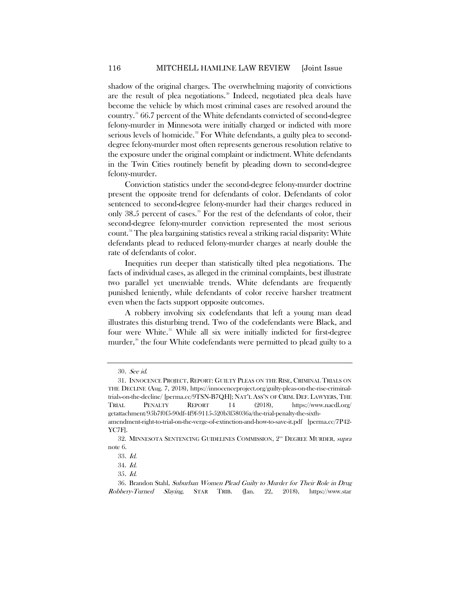shadow of the original charges. The overwhelming majority of convictions are the result of plea negotiations.<sup>[30](#page-6-0)</sup> Indeed, negotiated plea deals have become the vehicle by which most criminal cases are resolved around the country.[31](#page-6-1) 66.7 percent of the White defendants convicted of second-degree felony-murder in Minnesota were initially charged or indicted with more serious levels of homicide.<sup>[32](#page-6-2)</sup> For White defendants, a guilty plea to seconddegree felony-murder most often represents generous resolution relative to the exposure under the original complaint or indictment. White defendants in the Twin Cities routinely benefit by pleading down to second-degree felony-murder.

Conviction statistics under the second-degree felony-murder doctrine present the opposite trend for defendants of color. Defendants of color sentenced to second-degree felony-murder had their charges reduced in only 38.5 percent of cases.<sup>[33](#page-6-3)</sup> For the rest of the defendants of color, their second-degree felony-murder conviction represented the most serious count.<sup>[34](#page-6-4)</sup> The plea bargaining statistics reveal a striking racial disparity: White defendants plead to reduced felony-murder charges at nearly double the rate of defendants of color.

Inequities run deeper than statistically tilted plea negotiations. The facts of individual cases, as alleged in the criminal complaints, best illustrate two parallel yet unenviable trends. White defendants are frequently punished leniently, while defendants of color receive harsher treatment even when the facts support opposite outcomes.

A robbery involving six codefendants that left a young man dead illustrates this disturbing trend. Two of the codefendants were Black, and four were White.<sup>35</sup> While all six were initially indicted for first-degree murder,<sup>[36](#page-6-6)</sup> the four White codefendants were permitted to plead guilty to a

<span id="page-6-7"></span><sup>30</sup>. See id.

<span id="page-6-1"></span><span id="page-6-0"></span><sup>31.</sup> INNOCENCE PROJECT, REPORT: GUILTY PLEAS ON THE RISE, CRIMINAL TRIALS ON THE DECLINE (Aug. 7, 2018), https://innocenceproject.org/guilty-pleas-on-the-rise-criminaltrials-on-the-decline/ [perma.cc/9TSN-B7QH]; NAT'L ASS'N OF CRIM. DEF. LAWYERS, THE TRIAL PENALTY REPORT 14 (2018), https://www.nacdl.org/ getattachment/95b7f0f5-90df-4f9f-9115-520b3f58036a/the-trial-penalty-the-sixth-

amendment-right-to-trial-on-the-verge-of-extinction-and-how-to-save-it.pdf [perma.cc/7P42- YC7F].

<span id="page-6-3"></span><span id="page-6-2"></span><sup>32.</sup> MINNESOTA SENTENCING GUIDELINES COMMISSION,  $2^{\infty}$  Degree Murder, supra note [6.](#page-3-5)

<sup>33</sup>. Id.

<sup>34</sup>. Id.

<sup>35</sup>. Id.

<span id="page-6-6"></span><span id="page-6-5"></span><span id="page-6-4"></span><sup>36.</sup> Brandon Stahl, Suburban Women Plead Guilty to Murder for Their Role in Drug Robbery-Turned Slaying, STAR TRIB. (Jan. 22, 2018), https://www.star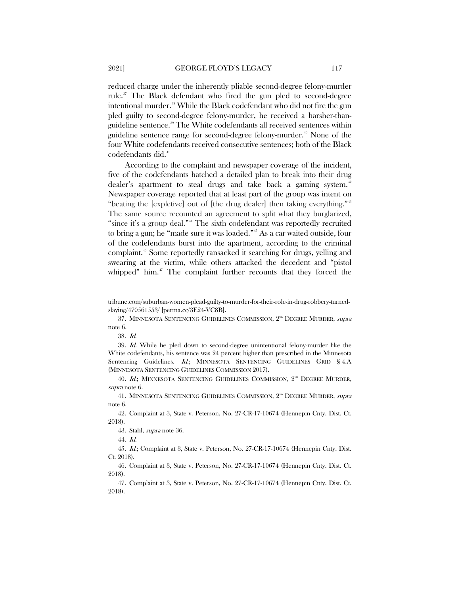reduced charge under the inherently pliable second-degree felony-murder rule.<sup>[37](#page-7-0)</sup> The Black defendant who fired the gun pled to second-degree intentional murder.<sup>[38](#page-7-1)</sup> While the Black codefendant who did not fire the gun pled guilty to second-degree felony-murder, he received a harsher-than-guideline sentence.<sup>[39](#page-7-2)</sup> The White codefendants all received sentences within guideline sentence range for second-degree felony-murder.<sup>[40](#page-7-3)</sup> None of the four White codefendants received consecutive sentences; both of the Black codefendants did.<sup>[41](#page-7-4)</sup>

According to the complaint and newspaper coverage of the incident, five of the codefendants hatched a detailed plan to break into their drug dealer's apartment to steal drugs and take back a gaming system.<sup>[42](#page-7-5)</sup> Newspaper coverage reported that at least part of the group was intent on "beating the [expletive] out of [the drug dealer] then taking everything."[43](#page-7-6) The same source recounted an agreement to split what they burglarized, "since it's a group deal."<sup>[44](#page-7-7)</sup> The sixth codefendant was reportedly recruited to bring a gun; he "made sure it was loaded."<sup>[45](#page-7-8)</sup> As a car waited outside, four of the codefendants burst into the apartment, according to the criminal complaint.<sup>[46](#page-7-9)</sup> Some reportedly ransacked it searching for drugs, yelling and swearing at the victim, while others attacked the decedent and "pistol whipped" him.<sup>[47](#page-7-10)</sup> The complaint further recounts that they forced the

tribune.com/suburban-women-plead-guilty-to-murder-for-their-role-in-drug-robbery-turnedslaying/470561553/ [perma.cc/3E24-VC8B].

<span id="page-7-0"></span><sup>37.</sup> MINNESOTA SENTENCING GUIDELINES COMMISSION, 2<sup>ND</sup> DEGREE MURDER, *supra* note [6.](#page-3-5)

<sup>38</sup>. Id.

<span id="page-7-2"></span><span id="page-7-1"></span><sup>39</sup>. Id. While he pled down to second-degree unintentional felony-murder like the White codefendants, his sentence was 24 percent higher than prescribed in the Minnesota Sentencing Guidelines. Id.; MINNESOTA SENTENCING GUIDELINES GRID § 4.A (MINNESOTA SENTENCING GUIDELINES COMMISSION 2017).

<span id="page-7-3"></span><sup>40.</sup> Id.; MINNESOTA SENTENCING GUIDELINES COMMISSION, 2<sup>ND</sup> DEGREE MURDER, supra not[e 6.](#page-3-5)

<span id="page-7-4"></span><sup>41.</sup> MINNESOTA SENTENCING GUIDELINES COMMISSION, 2<sup>ND</sup> DEGREE MURDER, supra note [6.](#page-3-5)

<span id="page-7-6"></span><span id="page-7-5"></span><sup>42.</sup> Complaint at 3, State v. Peterson, No. 27-CR-17-10674 (Hennepin Cnty. Dist. Ct. 2018).

<sup>43.</sup> Stahl, supra note [36.](#page-6-7)

<sup>44</sup>. Id.

<span id="page-7-8"></span><span id="page-7-7"></span><sup>45</sup>. Id.; Complaint at 3, State v. Peterson, No. 27-CR-17-10674 (Hennepin Cnty. Dist. Ct. 2018).

<span id="page-7-9"></span><sup>46.</sup> Complaint at 3, State v. Peterson, No. 27-CR-17-10674 (Hennepin Cnty. Dist. Ct. 2018).

<span id="page-7-10"></span><sup>47.</sup> Complaint at 3, State v. Peterson, No. 27-CR-17-10674 (Hennepin Cnty. Dist. Ct. 2018).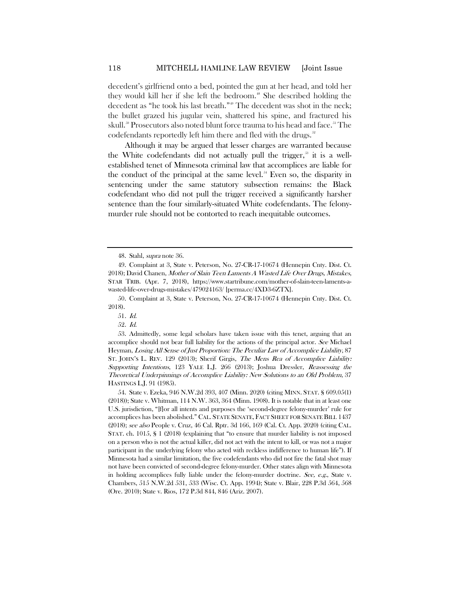decedent's girlfriend onto a bed, pointed the gun at her head, and told her they would kill her if she left the bedroom.<sup>[48](#page-8-0)</sup> She described holding the decedent as "he took his last breath."<sup>[49](#page-8-1)</sup> The decedent was shot in the neck; the bullet grazed his jugular vein, shattered his spine, and fractured his skull.<sup>[50](#page-8-2)</sup> Prosecutors also noted blunt force trauma to his head and face.<sup>[51](#page-8-3)</sup> The codefendants reportedly left him there and fled with the drugs.<sup>[52](#page-8-4)</sup>

Although it may be argued that lesser charges are warranted because the White codefendants did not actually pull the trigger,<sup>33</sup> it is a wellestablished tenet of Minnesota criminal law that accomplices are liable for the conduct of the principal at the same level.<sup>[54](#page-8-6)</sup> Even so, the disparity in sentencing under the same statutory subsection remains: the Black codefendant who did not pull the trigger received a significantly harsher sentence than the four similarly-situated White codefendants. The felonymurder rule should not be contorted to reach inequitable outcomes.

<sup>48.</sup> Stahl, supra note [36.](#page-6-7)

<span id="page-8-1"></span><span id="page-8-0"></span><sup>49.</sup> Complaint at 3, State v. Peterson, No. 27-CR-17-10674 (Hennepin Cnty. Dist. Ct. 2018); David Chanen, Mother of Slain Teen Laments A Wasted Life Over Drugs, Mistakes, STAR TRIB. (Apr. 7, 2018), https://www.startribune.com/mother-of-slain-teen-laments-awasted-life-over-drugs-mistakes/479024163/ [perma.cc/4XD3-6ZTX].

<span id="page-8-3"></span><span id="page-8-2"></span><sup>50.</sup> Complaint at 3, State v. Peterson, No. 27-CR-17-10674 (Hennepin Cnty. Dist. Ct. 2018).

<sup>51</sup>. Id.

<sup>52</sup>. Id.

<span id="page-8-5"></span><span id="page-8-4"></span><sup>53.</sup> Admittedly, some legal scholars have taken issue with this tenet, arguing that an accomplice should not bear full liability for the actions of the principal actor. See Michael Heyman, Losing All Sense of Just Proportion: The Peculiar Law of Accomplice Liability, 87 ST. JOHN'S L. REV. 129 (2013); Sherif Girgis, The Mens Rea of Accomplice Liability: Supporting Intentions, 123 YALE L.J. 266 (2013); Joshua Dressler, Reassessing the Theoretical Underpinnings of Accomplice Liability: New Solutions to an Old Problem, 37 HASTINGS L.J. 91 (1985).

<span id="page-8-6"></span><sup>54.</sup> State v. Ezeka, 946 N.W.2d 393, 407 (Minn. 2020) (citing MINN. STAT. § 609.05(1) (2018)); State v. Whitman, 114 N.W. 363, 364 (Minn. 1908). It is notable that in at least one U.S. jurisdiction, "[f]or all intents and purposes the 'second-degree felony-murder' rule for accomplices has been abolished." CAL. STATE SENATE, FACT SHEET FOR SENATE BILL 1437 (2018); see also People v. Cruz, 46 Cal. Rptr. 3d 166, 169 (Cal. Ct. App. 2020) (citing CAL. STAT. ch. 1015, § 1 (2018) (explaining that "to ensure that murder liability is not imposed on a person who is not the actual killer, did not act with the intent to kill, or was not a major participant in the underlying felony who acted with reckless indifference to human life"). If Minnesota had a similar limitation, the five codefendants who did not fire the fatal shot may not have been convicted of second-degree felony-murder. Other states align with Minnesota in holding accomplices fully liable under the felony-murder doctrine. See, e.g., State v. Chambers, 515 N.W.2d 531, 533 (Wisc. Ct. App. 1994); State v. Blair, 228 P.3d 564, 568 (Ore. 2010); State v. Rios, 172 P.3d 844, 846 (Ariz. 2007).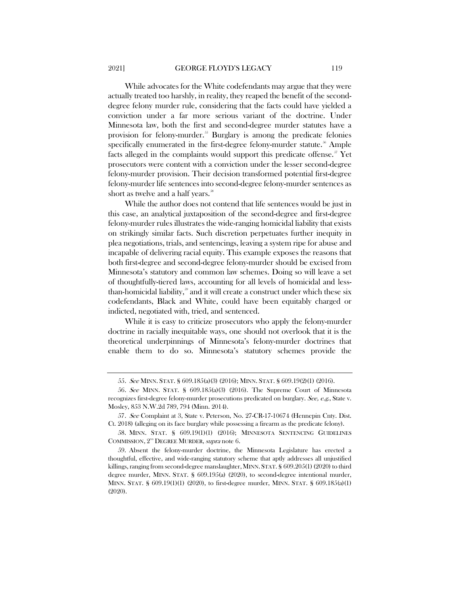While advocates for the White codefendants may argue that they were actually treated too harshly, in reality, they reaped the benefit of the seconddegree felony murder rule, considering that the facts could have yielded a conviction under a far more serious variant of the doctrine. Under Minnesota law, both the first and second-degree murder statutes have a provision for felony-murder.<sup>[55](#page-9-0)</sup> Burglary is among the predicate felonies specifically enumerated in the first-degree felony-murder statute.<sup>[56](#page-9-1)</sup> Ample facts alleged in the complaints would support this predicate offense.<sup>37</sup> Yet prosecutors were content with a conviction under the lesser second-degree felony-murder provision. Their decision transformed potential first-degree felony-murder life sentences into second-degree felony-murder sentences as short as twelve and a half years.<sup>[58](#page-9-3)</sup>

While the author does not contend that life sentences would be just in this case, an analytical juxtaposition of the second-degree and first-degree felony-murder rules illustrates the wide-ranging homicidal liability that exists on strikingly similar facts. Such discretion perpetuates further inequity in plea negotiations, trials, and sentencings, leaving a system ripe for abuse and incapable of delivering racial equity. This example exposes the reasons that both first-degree and second-degree felony-murder should be excised from Minnesota's statutory and common law schemes. Doing so will leave a set of thoughtfully-tiered laws, accounting for all levels of homicidal and lessthan-homicidal liability, $\frac{30}{2}$  and it will create a construct under which these six codefendants, Black and White, could have been equitably charged or indicted, negotiated with, tried, and sentenced.

While it is easy to criticize prosecutors who apply the felony-murder doctrine in racially inequitable ways, one should not overlook that it is the theoretical underpinnings of Minnesota's felony-murder doctrines that enable them to do so. Minnesota's statutory schemes provide the

<sup>55</sup>. See MINN. STAT. § 609.185(a)(3) (2016); MINN. STAT. § 609.19(2)(1) (2016).

<span id="page-9-1"></span><span id="page-9-0"></span><sup>56</sup>. See MINN. STAT. § 609.185(a)(3) (2016). The Supreme Court of Minnesota recognizes first-degree felony-murder prosecutions predicated on burglary. See, e.g., State v. Mosley, 853 N.W.2d 789, 794 (Minn. 2014).

<span id="page-9-2"></span><sup>57.</sup> See Complaint at 3, State v. Peterson, No. 27-CR-17-10674 (Hennepin Cnty. Dist. Ct. 2018) (alleging on its face burglary while possessing a firearm as the predicate felony).

<span id="page-9-3"></span><sup>58.</sup> MINN. STAT. § 609.19(1)(1) (2016); MINNESOTA SENTENCING GUIDELINES COMMISSION, 2<sup>ND</sup> DEGREE MURDER, supra not[e 6.](#page-3-5)

<span id="page-9-4"></span><sup>59.</sup> Absent the felony-murder doctrine, the Minnesota Legislature has erected a thoughtful, effective, and wide-ranging statutory scheme that aptly addresses all unjustified killings, ranging from second-degree manslaughter, MINN. STAT. § 609.205(1) (2020) to third degree murder, MINN. STAT. § 609.195(a) (2020), to second-degree intentional murder, MINN. STAT. § 609.19(1)(1) (2020), to first-degree murder, MINN. STAT. § 609.185(a)(1) (2020).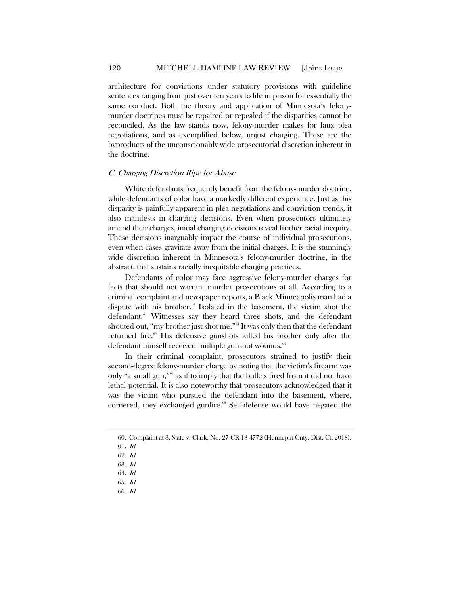architecture for convictions under statutory provisions with guideline sentences ranging from just over ten years to life in prison for essentially the same conduct. Both the theory and application of Minnesota's felonymurder doctrines must be repaired or repealed if the disparities cannot be reconciled. As the law stands now, felony-murder makes for faux plea negotiations, and as exemplified below, unjust charging. These are the byproducts of the unconscionably wide prosecutorial discretion inherent in the doctrine.

#### C. Charging Discretion Ripe for Abuse

White defendants frequently benefit from the felony-murder doctrine, while defendants of color have a markedly different experience. Just as this disparity is painfully apparent in plea negotiations and conviction trends, it also manifests in charging decisions. Even when prosecutors ultimately amend their charges, initial charging decisions reveal further racial inequity. These decisions inarguably impact the course of individual prosecutions, even when cases gravitate away from the initial charges. It is the stunningly wide discretion inherent in Minnesota's felony-murder doctrine, in the abstract, that sustains racially inequitable charging practices.

Defendants of color may face aggressive felony-murder charges for facts that should not warrant murder prosecutions at all. According to a criminal complaint and newspaper reports, a Black Minneapolis man had a dispute with his brother.<sup>[60](#page-10-0)</sup> Isolated in the basement, the victim shot the defendant.<sup>[61](#page-10-1)</sup> Witnesses say they heard three shots, and the defendant shouted out, "my brother just shot me."<sup>20</sup> It was only then that the defendant returned fire.<sup>[63](#page-10-3)</sup> His defensive gunshots killed his brother only after the defendant himself received multiple gunshot wounds.<sup>[64](#page-10-4)</sup>

In their criminal complaint, prosecutors strained to justify their second-degree felony-murder charge by noting that the victim's firearm was only "a small gun,"<sup>[65](#page-10-5)</sup> as if to imply that the bullets fired from it did not have lethal potential. It is also noteworthy that prosecutors acknowledged that it was the victim who pursued the defendant into the basement, where, cornered, they exchanged gunfire.<sup>[66](#page-10-6)</sup> Self-defense would have negated the

<span id="page-10-6"></span><span id="page-10-5"></span>65. Id.

<span id="page-10-0"></span><sup>60.</sup> Complaint at 3, State v. Clark, No. 27-CR-18-4772 (Hennepin Cnty. Dist. Ct. 2018).

<span id="page-10-1"></span><sup>61</sup>. Id.

<span id="page-10-2"></span><sup>62</sup>. Id.

<span id="page-10-4"></span><span id="page-10-3"></span><sup>63</sup>. Id.

<sup>64</sup>. Id.

<sup>66</sup>. Id.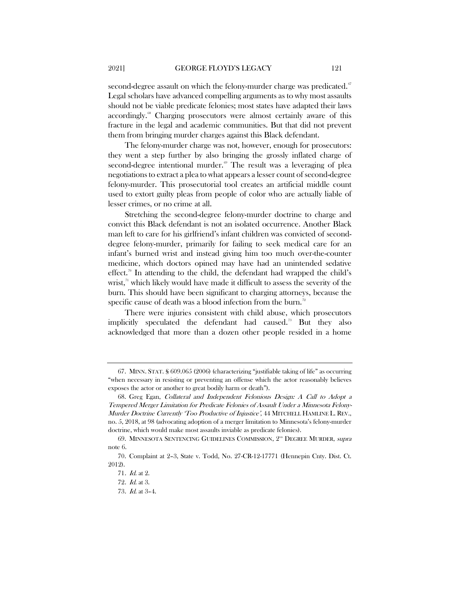<span id="page-11-7"></span>second-degree assault on which the felony-murder charge was predicated.<sup>[67](#page-11-0)</sup> Legal scholars have advanced compelling arguments as to why most assaults should not be viable predicate felonies; most states have adapted their laws accordingly.<sup>88</sup> Charging prosecutors were almost certainly aware of this fracture in the legal and academic communities. But that did not prevent them from bringing murder charges against this Black defendant.

The felony-murder charge was not, however, enough for prosecutors: they went a step further by also bringing the grossly inflated charge of second-degree intentional murder.<sup>[69](#page-11-2)</sup> The result was a leveraging of plea negotiations to extract a plea to what appears a lesser count of second-degree felony-murder. This prosecutorial tool creates an artificial middle count used to extort guilty pleas from people of color who are actually liable of lesser crimes, or no crime at all.

Stretching the second-degree felony-murder doctrine to charge and convict this Black defendant is not an isolated occurrence. Another Black man left to care for his girlfriend's infant children was convicted of seconddegree felony-murder, primarily for failing to seek medical care for an infant's burned wrist and instead giving him too much over-the-counter medicine, which doctors opined may have had an unintended sedative effect.<sup>[70](#page-11-3)</sup> In attending to the child, the defendant had wrapped the child's wrist, $\frac{1}{1}$  which likely would have made it difficult to assess the severity of the burn. This should have been significant to charging attorneys, because the specific cause of death was a blood infection from the burn.<sup>[72](#page-11-5)</sup>

There were injuries consistent with child abuse, which prosecutors implicitly speculated the defendant had caused.[73](#page-11-6) But they also acknowledged that more than a dozen other people resided in a home

<span id="page-11-0"></span><sup>67.</sup> MINN. STAT. § 609.065 (2006) (characterizing "justifiable taking of life" as occurring "when necessary in resisting or preventing an offense which the actor reasonably believes exposes the actor or another to great bodily harm or death").

<span id="page-11-1"></span><sup>68.</sup> Greg Egan, Collateral and Independent Felonious Design: A Call to Adopt a Tempered Merger Limitation for Predicate Felonies of Assault Under a Minnesota Felony-Murder Doctrine Currently 'Too Productive of Injustice', 44 MITCHELL HAMLINE L. REV., no. 5, 2018, at 98 (advocating adoption of a merger limitation to Minnesota's felony-murder doctrine, which would make most assaults inviable as predicate felonies).

<span id="page-11-2"></span><sup>69.</sup> MINNESOTA SENTENCING GUIDELINES COMMISSION,  $2^{30}$  Degree Murder, supra note [6.](#page-3-5)

<span id="page-11-6"></span><span id="page-11-5"></span><span id="page-11-4"></span><span id="page-11-3"></span><sup>70.</sup> Complaint at 2–3, State v. Todd, No. 27-CR-12-17771 (Hennepin Cnty. Dist. Ct. 2012).

<sup>71</sup>. Id. at 2.

<sup>72</sup>. Id. at 3.

<sup>73</sup>. Id. at 3–4.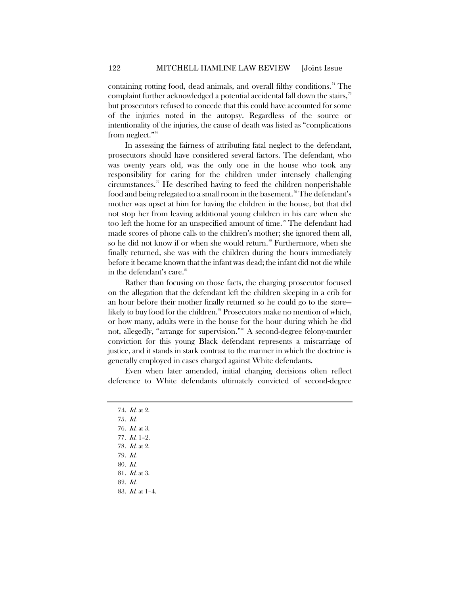containing rotting food, dead animals, and overall filthy conditions.<sup>[74](#page-12-0)</sup> The complaint further acknowledged a potential accidental fall down the stairs,<sup>[75](#page-12-1)</sup> but prosecutors refused to concede that this could have accounted for some of the injuries noted in the autopsy. Regardless of the source or intentionality of the injuries, the cause of death was listed as "complications from neglect."[76](#page-12-2)

In assessing the fairness of attributing fatal neglect to the defendant, prosecutors should have considered several factors. The defendant, who was twenty years old, was the only one in the house who took any responsibility for caring for the children under intensely challenging circumstances.<sup> $\pi$ </sup> He described having to feed the children nonperishable food and being relegated to a small room in the basement.<sup>[78](#page-12-4)</sup> The defendant's mother was upset at him for having the children in the house, but that did not stop her from leaving additional young children in his care when she too left the home for an unspecified amount of time.<sup>[79](#page-12-5)</sup> The defendant had made scores of phone calls to the children's mother; she ignored them all, so he did not know if or when she would return.<sup>[80](#page-12-6)</sup> Furthermore, when she finally returned, she was with the children during the hours immediately before it became known that the infant was dead; the infant did not die while in the defendant's care.<sup>[81](#page-12-7)</sup>

Rather than focusing on those facts, the charging prosecutor focused on the allegation that the defendant left the children sleeping in a crib for an hour before their mother finally returned so he could go to the store— likely to buy food for the children.<sup>[82](#page-12-8)</sup> Prosecutors make no mention of which, or how many, adults were in the house for the hour during which he did not, allegedly, "arrange for supervision."<sup>88</sup> A second-degree felony-murder conviction for this young Black defendant represents a miscarriage of justice, and it stands in stark contrast to the manner in which the doctrine is generally employed in cases charged against White defendants.

<span id="page-12-0"></span>Even when later amended, initial charging decisions often reflect deference to White defendants ultimately convicted of second-degree

- 74. Id. at 2.
- 75. Id.
- <span id="page-12-2"></span><span id="page-12-1"></span>76. Id. at 3.
- <span id="page-12-4"></span><span id="page-12-3"></span>77. Id. 1–2.
- 78. Id. at 2.
- <span id="page-12-5"></span>79. Id.
- 80. Id.
- <span id="page-12-9"></span><span id="page-12-8"></span><span id="page-12-7"></span><span id="page-12-6"></span>81. Id. at 3.
- 82. Id.
- 83. Id. at 1–4.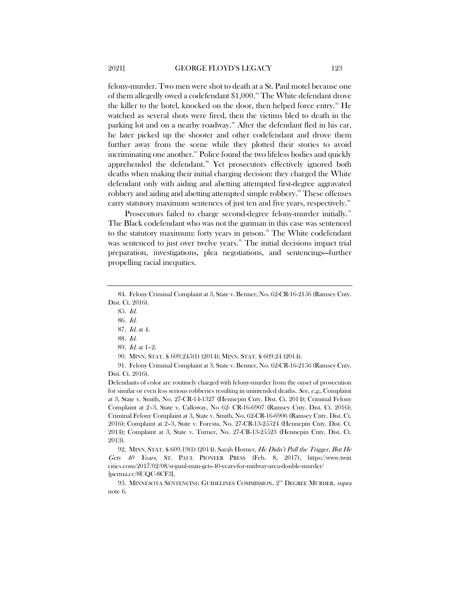felony-murder. Two men were shot to death at a St. Paul motel because one of them allegedly owed a codefendant \$1,000.<sup>[84](#page-13-0)</sup> The White defendant drove the killer to the hotel, knocked on the door, then helped force entry.<sup>[85](#page-13-1)</sup> He watched as several shots were fired, then the victims bled to death in the parking lot and on a nearby roadway.<sup>[86](#page-13-2)</sup> After the defendant fled in his car, he later picked up the shooter and other codefendant and drove them further away from the scene while they plotted their stories to avoid incriminating one another.<sup>[87](#page-13-3)</sup> Police found the two lifeless bodies and quickly apprehended the defendant.<sup>[88](#page-13-4)</sup> Yet prosecutors effectively ignored both deaths when making their initial charging decision: they charged the White defendant only with aiding and abetting attempted first-degree aggravated robbery and aiding and abetting attempted simple robbery.<sup>[89](#page-13-5)</sup> These offenses carry statutory maximum sentences of just ten and five years, respectively.<sup>[90](#page-13-6)</sup>

Prosecutors failed to charge second-degree felony-murder initially.<sup>[91](#page-13-7)</sup> The Black codefendant who was not the gunman in this case was sentenced to the statutory maximum: forty years in prison.<sup>[92](#page-13-8)</sup> The White codefendant was sentenced to just over twelve years. [93](#page-13-9) The initial decisions impact trial preparation, investigations, plea negotiations, and sentencings—further propelling racial inequities.

90. MINN. STAT. § 609.245(1) (2014); MINN. STAT. § 609.24 (2014).

<span id="page-13-7"></span><span id="page-13-6"></span><span id="page-13-5"></span><span id="page-13-4"></span>91. Felony Criminal Complaint at 3, State v. Benner, No. 62-CR-16-2156 (Ramsey Cnty. Dist. Ct. 2016).

Defendants of color are routinely charged with felony-murder from the onset of prosecution for similar or even less serious robberies resulting in unintended deaths. See, e.g., Complaint at 3, State v. Smith, No. 27-CR-14-1327 (Hennepin Cnty. Dist. Ct. 2014); Criminal Felony Complaint at 2–3, State v. Calloway, No 62- CR-16-6907 (Ramsey Cnty. Dist. Ct. 2016); Criminal Felony Complaint at 3, State v. Smith, No. 62-CR-16-6906 (Ramsey Cnty. Dist. Ct. 2016); Complaint at 2–3, State v. Foresta, No. 27-CR-13-25524 (Hennepin Cnty. Dist. Ct. 2014); Complaint at 3, State v. Turner, No. 27-CR-13-25523 (Hennepin Cnty. Dist. Ct. 2013).

<span id="page-13-8"></span>92. MINN. STAT. § 609.19(1) (2014). Sarah Horner, He Didn't Pull the Trigger, But He Gets 40 Years, ST. PAUL PIONEER PRESS (Feb. 8, 2017), https://www.twin cities.com/2017/02/08/st-paul-man-gets-40-years-for-midway-area-double-murder/ [perma.cc/8UQC-8CF3].

<span id="page-13-9"></span>93. MINNESOTA SENTENCING GUIDELINES COMMISSION, 2<sup>ND</sup> DEGREE MURDER, supra note [6.](#page-3-5)

<span id="page-13-3"></span><span id="page-13-2"></span><span id="page-13-1"></span><span id="page-13-0"></span><sup>84.</sup> Felony Criminal Complaint at 3, State v. Benner, No. 62-CR-16-2156 (Ramsey Cnty. Dist. Ct. 2016).

<sup>85</sup>. Id.

<sup>86</sup>. Id.

<sup>87</sup>. Id. at 4.

<sup>88</sup>. Id.

<sup>89</sup>. Id. at 1–2.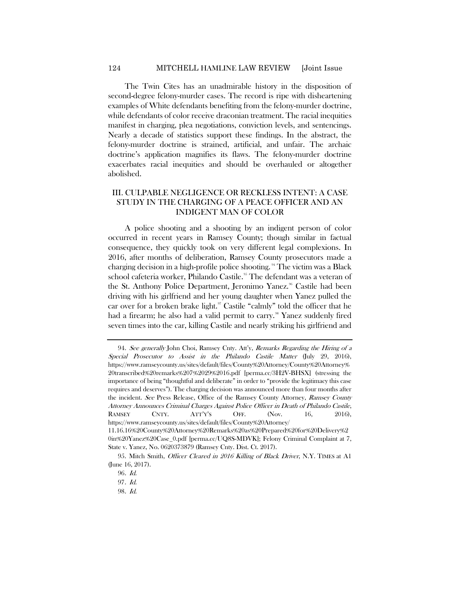The Twin Cites has an unadmirable history in the disposition of second-degree felony-murder cases. The record is ripe with disheartening examples of White defendants benefiting from the felony-murder doctrine, while defendants of color receive draconian treatment. The racial inequities manifest in charging, plea negotiations, conviction levels, and sentencings. Nearly a decade of statistics support these findings. In the abstract, the felony-murder doctrine is strained, artificial, and unfair. The archaic doctrine's application magnifies its flaws. The felony-murder doctrine exacerbates racial inequities and should be overhauled or altogether abolished.

## III. CULPABLE NEGLIGENCE OR RECKLESS INTENT: A CASE STUDY IN THE CHARGING OF A PEACE OFFICER AND AN INDIGENT MAN OF COLOR

<span id="page-14-5"></span>A police shooting and a shooting by an indigent person of color occurred in recent years in Ramsey County; though similar in factual consequence, they quickly took on very different legal complexions. In 2016, after months of deliberation, Ramsey County prosecutors made a charging decision in a high-profile police shooting. [94](#page-14-0) The victim was a Black school cafeteria worker, Philando Castile.<sup>95</sup> The defendant was a veteran of the St. Anthony Police Department, Jeronimo Yanez.<sup>[96](#page-14-2)</sup> Castile had been driving with his girlfriend and her young daughter when Yanez pulled the car over for a broken brake light.<sup>[97](#page-14-3)</sup> Castile "calmly" told the officer that he had a firearm; he also had a valid permit to carry.<sup>[98](#page-14-4)</sup> Yanez suddenly fired seven times into the car, killing Castile and nearly striking his girlfriend and

<span id="page-14-0"></span><sup>94.</sup> See generally John Choi, Ramsey Cnty. Att'y, Remarks Regarding the Hiring of a Special Prosecutor to Assist in the Philando Castile Matter (July 29, 2016), https://www.ramseycounty.us/sites/default/files/County%20Attorney/County%20Attorney% 20transcribed%20remarks%207%2029%2016.pdf [perma.cc/3H2V-BHSX] (stressing the importance of being "thoughtful and deliberate" in order to "provide the legitimacy this case requires and deserves"). The charging decision was announced more than four months after the incident. See Press Release, Office of the Ramsey County Attorney, Ramsey County Attorney Announces Criminal Charges Against Police Officer in Death of Philando Castile, RAMSEY CNTY. ATT'Y'S OFF. (Nov. 16, 2016), https://www.ramseycounty.us/sites/default/files/County%20Attorney/ 11.16.16%20County%20Attorney%20Remarks%20as%20Prepared%20for%20Delivery%2 0in%20Yanez%20Case\_0.pdf [perma.cc/UQ8S-MDVK]; Felony Criminal Complaint at 7, State v. Yanez, No. 0620373879 (Ramsey Cnty. Dist. Ct. 2017).

<span id="page-14-4"></span><span id="page-14-3"></span><span id="page-14-2"></span><span id="page-14-1"></span><sup>95.</sup> Mitch Smith, Officer Cleared in 2016 Killing of Black Driver, N.Y. TIMES at A1 (June 16, 2017).

<sup>96</sup>. Id.

<sup>97</sup>. Id.

<sup>98</sup>. Id.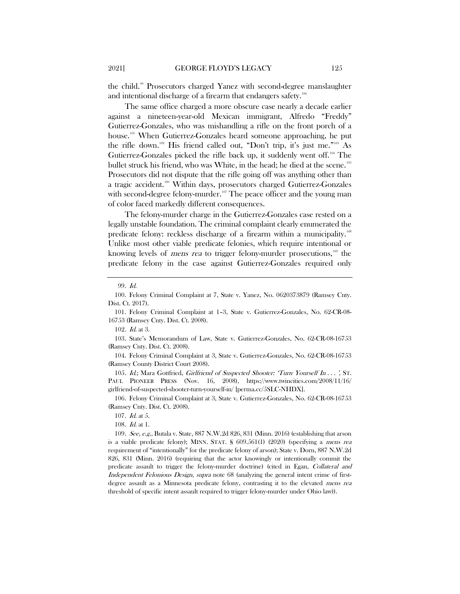the child.[99](#page-15-0) Prosecutors charged Yanez with second-degree manslaughter and intentional discharge of a firearm that endangers safety. $100$ 

The same office charged a more obscure case nearly a decade earlier against a nineteen-year-old Mexican immigrant, Alfredo "Freddy" Gutierrez-Gonzales, who was mishandling a rifle on the front porch of a house.<sup>[101](#page-15-2)</sup> When Gutierrez-Gonzales heard someone approaching, he put the rifle down.<sup>[102](#page-15-3)</sup> His friend called out, "Don't trip, it's just me."<sup>[103](#page-15-4)</sup> As Gutierrez-Gonzales picked the rifle back up, it suddenly went off.[104](#page-15-5) The bullet struck his friend, who was White, in the head; he died at the scene.<sup>[105](#page-15-6)</sup> Prosecutors did not dispute that the rifle going off was anything other than a tragic accident.<sup>[106](#page-15-7)</sup> Within days, prosecutors charged Gutierrez-Gonzales with second-degree felony-murder.<sup>[107](#page-15-8)</sup> The peace officer and the young man of color faced markedly different consequences.

The felony-murder charge in the Gutierrez-Gonzales case rested on a legally unstable foundation. The criminal complaint clearly enumerated the predicate felony: reckless discharge of a firearm within a municipality.<sup>108</sup> Unlike most other viable predicate felonies, which require intentional or knowing levels of *mens rea* to trigger felony-murder prosecutions,<sup>[109](#page-15-10)</sup> the predicate felony in the case against Gutierrez-Gonzales required only

<span id="page-15-4"></span><span id="page-15-3"></span>103. State's Memorandum of Law, State v. Gutierrez-Gonzales, No. 62-CR-08-16753 (Ramsey Cnty. Dist. Ct. 2008).

<span id="page-15-5"></span>104. Felony Criminal Complaint at 3, State v. Gutierrez-Gonzales, No. 62-CR-08-16753 (Ramsey County District Court 2008).

<span id="page-15-6"></span>105. Id.; Mara Gottfried, *Girlfriend of Suspected Shooter: 'Turn Yourself In...'*, ST. PAUL PIONEER PRESS (Nov. 16, 2008), https://www.twincities.com/2008/11/16/ girlfriend-of-suspected-shooter-turn-yourself-in/ [perma.cc/5SLC-NHDX].

<span id="page-15-7"></span>106. Felony Criminal Complaint at 3, State v. Gutierrez-Gonzales, No. 62-CR-08-16753 (Ramsey Cnty. Dist. Ct. 2008).

108. Id. at 1.

<span id="page-15-10"></span><span id="page-15-9"></span><span id="page-15-8"></span>109. See, e.g., Butala v. State, 887 N.W.2d 826, 831 (Minn. 2016) (establishing that arson is a viable predicate felony); MINN. STAT. § 609.561(1) (2020) (specifying a mens rea requirement of "intentionally" for the predicate felony of arson); State v. Dorn, 887 N.W.2d 826, 831 (Minn. 2016) (requiring that the actor knowingly or intentionally commit the predicate assault to trigger the felony-murder doctrine) (cited in Egan, Collateral and Independent Felonious Design, supra note [68](#page-11-7) (analyzing the general intent crime of firstdegree assault as a Minnesota predicate felony, contrasting it to the elevated mens rea threshold of specific intent assault required to trigger felony-murder under Ohio law)).

<sup>99</sup>. Id.

<span id="page-15-1"></span><span id="page-15-0"></span><sup>100.</sup> Felony Criminal Complaint at 7, State v. Yanez, No. 0620373879 (Ramsey Cnty. Dist. Ct. 2017).

<span id="page-15-2"></span><sup>101.</sup> Felony Criminal Complaint at 1–3, State v. Gutierrez-Gonzales, No. 62-CR-08- 16753 (Ramsey Cnty. Dist. Ct. 2008).

<sup>102</sup>. Id. at 3.

<sup>107</sup>. Id. at 5.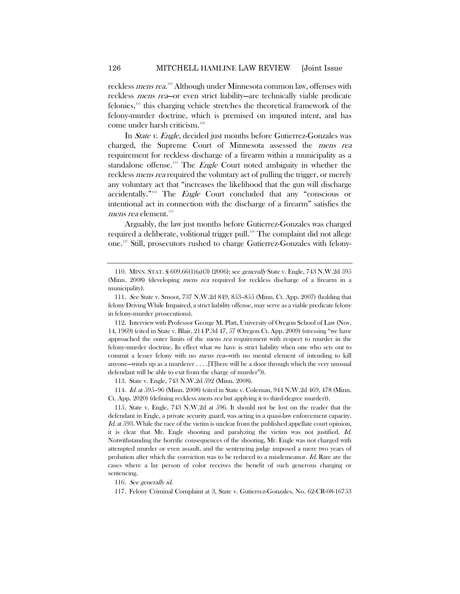reckless *mens rea*."<sup>0</sup> Although under Minnesota common law, offenses with reckless mens rea—or even strict liability—are technically viable predicate felonies,[111](#page-16-1) this charging vehicle stretches the theoretical framework of the felony-murder doctrine, which is premised on imputed intent, and has come under harsh criticism. $112$ 

In State v. Engle, decided just months before Gutierrez-Gonzales was charged, the Supreme Court of Minnesota assessed the mens rea requirement for reckless discharge of a firearm within a municipality as a standalone offense.<sup>[113](#page-16-3)</sup> The *Engle* Court noted ambiguity in whether the reckless mens rea required the voluntary act of pulling the trigger, or merely any voluntary act that "increases the likelihood that the gun will discharge accidentally."<sup>[114](#page-16-4)</sup> The *Engle* Court concluded that any "conscious or intentional act in connection with the discharge of a firearm" satisfies the mens rea element.<sup>[115](#page-16-5)</sup>

Arguably, the law just months before Gutierrez-Gonzales was charged required a deliberate, volitional trigger pull.<sup>[116](#page-16-6)</sup> The complaint did not allege one. [117](#page-16-7) Still, prosecutors rushed to charge Gutierrez-Gonzales with felony-

113. State v. Engle, 743 N.W.2d 592 (Minn. 2008).

<span id="page-16-4"></span><span id="page-16-3"></span>114. Id. at 595–96 (Minn. 2008) (cited in State v. Coleman, 944 N.W.2d 469, 478 (Minn. Ct. App. 2020) (defining reckless mens rea but applying it to third-degree murder)).

<span id="page-16-5"></span>115. State v. Engle, 743 N.W.2d at 596. It should not be lost on the reader that the defendant in Engle, a private security guard, was acting in a quasi-law enforcement capacity.  $Id$ , at 593. While the race of the victim is unclear from the published appellate court opinion, it is clear that Mr. Engle shooting and paralyzing the victim was not justified. Id. Notwithstanding the horrific consequences of the shooting, Mr. Engle was not charged with attempted murder or even assault, and the sentencing judge imposed a mere two years of probation after which the conviction was to be reduced to a misdemeanor. Id. Rare are the cases where a lay person of color receives the benefit of such generous charging or sentencing.

<span id="page-16-7"></span><span id="page-16-6"></span>116. See generally id.

117. Felony Criminal Complaint at 3, State v. Gutierrez-Gonzales, No. 62-CR-08-16753

<span id="page-16-0"></span><sup>110.</sup> MINN. STAT. § 609.66(1)(a)(3) (2006); see generally State v. Engle, 743 N.W.2d 595 (Minn. 2008) (developing mens rea required for reckless discharge of a firearm in a municipality).

<span id="page-16-1"></span><sup>111</sup>. See State v. Smoot, 737 N.W.2d 849, 853–855 (Minn. Ct. App. 2007) (holding that felony Driving While Impaired, a strict liability offense, may serve as a viable predicate felony in felony-murder prosecutions).

<span id="page-16-2"></span><sup>112.</sup> Interview with Professor George M. Platt, University of Oregon School of Law (Nov. 14, 1969) (cited in State v. Blair, 214 P.3d 47, 57 (Oregon Ct. App. 2009) (stressing "we have approached the outer limits of the *mens rea* requirement with respect to murder in the felony-murder doctrine. In effect what we have is strict liability when one who sets out to commit a lesser felony with no *mens rea*—with no mental element of intending to kill anyone—winds up as a murderer  $\dots$ . . . . There will be a door through which the very unusual defendant will be able to exit from the charge of murder")).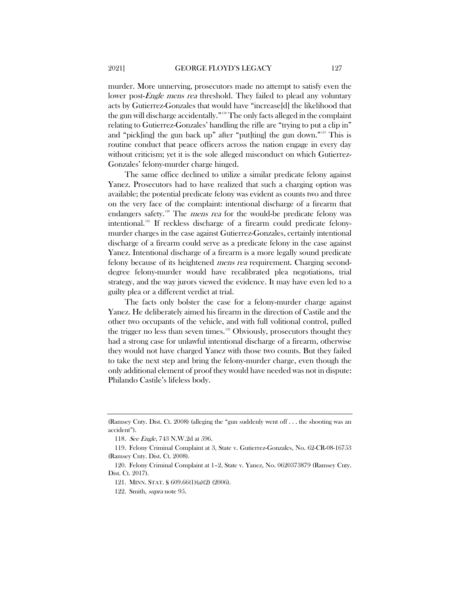murder. More unnerving, prosecutors made no attempt to satisfy even the lower post-Engle mens rea threshold. They failed to plead any voluntary acts by Gutierrez-Gonzales that would have "increase[d] the likelihood that the gun will discharge accidentally."[118](#page-17-0) The only facts alleged in the complaint relating to Gutierrez-Gonzales' handling the rifle are "trying to put a clip in" and "pick[ing] the gun back up" after "put[ting] the gun down."[119](#page-17-1) This is routine conduct that peace officers across the nation engage in every day without criticism; yet it is the sole alleged misconduct on which Gutierrez-Gonzales' felony-murder charge hinged.

The same office declined to utilize a similar predicate felony against Yanez. Prosecutors had to have realized that such a charging option was available; the potential predicate felony was evident as counts two and three on the very face of the complaint: intentional discharge of a firearm that endangers safety.<sup>[120](#page-17-2)</sup> The *mens rea* for the would-be predicate felony was intentional.[121](#page-17-3) If reckless discharge of a firearm could predicate felonymurder charges in the case against Gutierrez-Gonzales, certainly intentional discharge of a firearm could serve as a predicate felony in the case against Yanez. Intentional discharge of a firearm is a more legally sound predicate felony because of its heightened mens rea requirement. Charging seconddegree felony-murder would have recalibrated plea negotiations, trial strategy, and the way jurors viewed the evidence. It may have even led to a guilty plea or a different verdict at trial.

The facts only bolster the case for a felony-murder charge against Yanez. He deliberately aimed his firearm in the direction of Castile and the other two occupants of the vehicle, and with full volitional control, pulled the trigger no less than seven times.<sup>[122](#page-17-4)</sup> Obviously, prosecutors thought they had a strong case for unlawful intentional discharge of a firearm, otherwise they would not have charged Yanez with those two counts. But they failed to take the next step and bring the felony-murder charge, even though the only additional element of proof they would have needed was not in dispute: Philando Castile's lifeless body.

<span id="page-17-0"></span><sup>(</sup>Ramsey Cnty. Dist. Ct. 2008) (alleging the "gun suddenly went off . . . the shooting was an accident").

<sup>118.</sup> See Engle, 743 N.W.2d at 596.

<span id="page-17-1"></span><sup>119.</sup> Felony Criminal Complaint at 3, State v. Gutierrez-Gonzales, No. 62-CR-08-16753 (Ramsey Cnty. Dist. Ct. 2008).

<span id="page-17-4"></span><span id="page-17-3"></span><span id="page-17-2"></span><sup>120.</sup> Felony Criminal Complaint at 1–2, State v. Yanez, No. 0620373879 (Ramsey Cnty. Dist. Ct. 2017).

<sup>121.</sup> MINN. STAT. § 609.66(1)(a)(2) (2006).

<sup>122.</sup> Smith, supra note [95.](#page-14-5)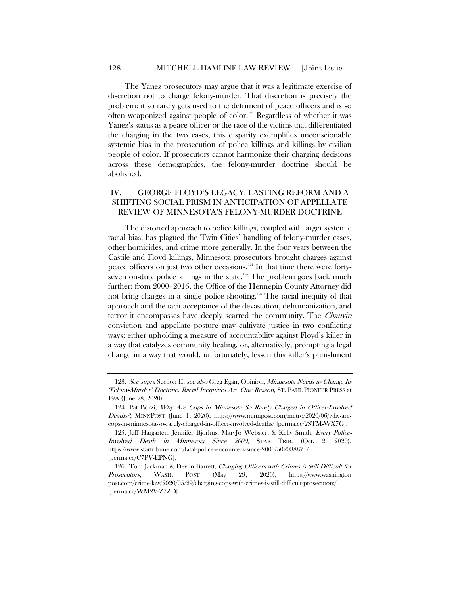<span id="page-18-6"></span>The Yanez prosecutors may argue that it was a legitimate exercise of discretion not to charge felony-murder. That discretion is precisely the problem: it so rarely gets used to the detriment of peace officers and is so often weaponized against people of color.<sup>[123](#page-18-0)</sup> Regardless of whether it was Yanez's status as a peace officer or the race of the victims that differentiated the charging in the two cases, this disparity exemplifies unconscionable systemic bias in the prosecution of police killings and killings by civilian people of color. If prosecutors cannot harmonize their charging decisions across these demographics, the felony-murder doctrine should be abolished.

## IV. GEORGE FLOYD'S LEGACY: LASTING REFORM AND A SHIFTING SOCIAL PRISM IN ANTICIPATION OF APPELLATE REVIEW OF MINNESOTA'S FELONY-MURDER DOCTRINE

<span id="page-18-5"></span><span id="page-18-4"></span>The distorted approach to police killings, coupled with larger systemic racial bias, has plagued the Twin Cities' handling of felony-murder cases, other homicides, and crime more generally. In the four years between the Castile and Floyd killings, Minnesota prosecutors brought charges against peace officers on just two other occasions. $124$  In that time there were forty-seven on-duty police killings in the state.<sup>[125](#page-18-2)</sup> The problem goes back much further: from 2000–2016, the Office of the Hennepin County Attorney did not bring charges in a single police shooting.[126](#page-18-3) The racial inequity of that approach and the tacit acceptance of the devastation, dehumanization, and terror it encompasses have deeply scarred the community. The Chauvin conviction and appellate posture may cultivate justice in two conflicting ways: either upholding a measure of accountability against Floyd's killer in a way that catalyzes community healing, or, alternatively, prompting a legal change in a way that would, unfortunately, lessen this killer's punishment

<span id="page-18-0"></span><sup>123</sup>. See supra Section II; see also Greg Egan, Opinion, Minnesota Needs to Change Its 'Felony-Murder' Doctrine. Racial Inequities Are One Reason, ST. PAUL PIONEER PRESS at 19A (June 28, 2020).

<span id="page-18-1"></span><sup>124.</sup> Pat Borzi, Why Are Cops in Minnesota So Rarely Charged in Officer-Involved Deaths?, MINNPOST (June 1, 2020), https://www.minnpost.com/metro/2020/06/why-arecops-in-minnesota-so-rarely-charged-in-officer-involved-deaths/ [perma.cc/2STM-WX7G].

<span id="page-18-2"></span><sup>125.</sup> Jeff Hargarten, Jennifer Bjorhus, MaryJo Webster, & Kelly Smith, Every Police-Involved Death in Minnesota Since 2000, STAR TRIB. (Oct. 2, 2020), https://www.startribune.com/fatal-police-encounters-since-2000/502088871/ [perma.cc/C7PV-EPNG].

<span id="page-18-3"></span><sup>126.</sup> Tom Jackman & Devlin Barrett, Charging Officers with Crimes is Still Difficult for Prosecutors, WASH. POST (May 29, 2020), https://www.washington post.com/crime-law/2020/05/29/charging-cops-with-crimes-is-still-difficult-prosecutors/ [perma.cc/WM2V-Z7ZD].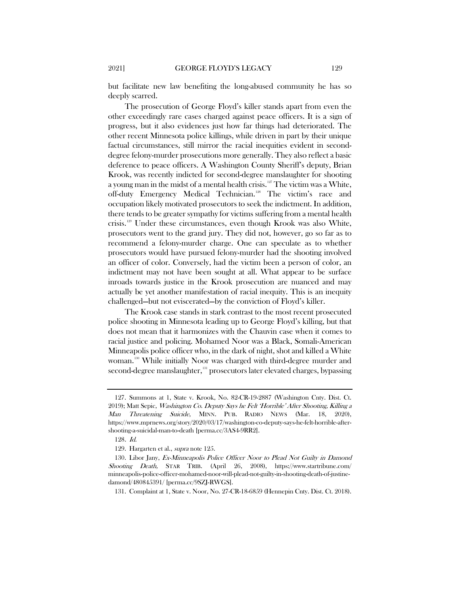but facilitate new law benefiting the long-abused community he has so deeply scarred.

The prosecution of George Floyd's killer stands apart from even the other exceedingly rare cases charged against peace officers. It is a sign of progress, but it also evidences just how far things had deteriorated. The other recent Minnesota police killings, while driven in part by their unique factual circumstances, still mirror the racial inequities evident in seconddegree felony-murder prosecutions more generally. They also reflect a basic deference to peace officers. A Washington County Sheriff's deputy, Brian Krook, was recently indicted for second-degree manslaughter for shooting a young man in the midst of a mental health crisis.<sup>[127](#page-19-0)</sup> The victim was a White, off-duty Emergency Medical Technician.<sup>[128](#page-19-1)</sup> The victim's race and occupation likely motivated prosecutors to seek the indictment. In addition, there tends to be greater sympathy for victims suffering from a mental health crisis.[129](#page-19-2) Under these circumstances, even though Krook was also White, prosecutors went to the grand jury. They did not, however, go so far as to recommend a felony-murder charge. One can speculate as to whether prosecutors would have pursued felony-murder had the shooting involved an officer of color. Conversely, had the victim been a person of color, an indictment may not have been sought at all. What appear to be surface inroads towards justice in the Krook prosecution are nuanced and may actually be yet another manifestation of racial inequity. This is an inequity challenged—but not eviscerated—by the conviction of Floyd's killer.

The Krook case stands in stark contrast to the most recent prosecuted police shooting in Minnesota leading up to George Floyd's killing, but that does not mean that it harmonizes with the Chauvin case when it comes to racial justice and policing. Mohamed Noor was a Black, Somali-American Minneapolis police officer who, in the dark of night, shot and killed a White woman.<sup>[130](#page-19-3)</sup> While initially Noor was charged with third-degree murder and second-degree manslaughter,<sup>[131](#page-19-4)</sup> prosecutors later elevated charges, bypassing

<span id="page-19-5"></span><span id="page-19-0"></span><sup>127.</sup> Summons at 1, State v. Krook, No. 82-CR-19-2887 (Washington Cnty. Dist. Ct. 2019); Matt Sepic, Washington Co. Deputy Says he Felt 'Horrible' After Shooting, Killing a Man Threatening Suicide, MINN. PUB. RADIO NEWS (Mar. 18, 2020), https://www.mprnews.org/story/2020/03/17/washington-co-deputy-says-he-felt-horrible-aftershooting-a-suicidal-man-to-death [perma.cc/3AS4-9RR2].

<sup>128</sup>. Id.

<sup>129.</sup> Hargarten et al., supra not[e 125.](#page-18-4)

<span id="page-19-4"></span><span id="page-19-3"></span><span id="page-19-2"></span><span id="page-19-1"></span><sup>130.</sup> Libor Jany, Ex-Minneapolis Police Officer Noor to Plead Not Guilty in Damond Shooting Death, STAR TRIB. (April 26, 2008), https://www.startribune.com/ minneapolis-police-officer-mohamed-noor-will-plead-not-guilty-in-shooting-death-of-justinedamond/480845391/ [perma.cc/9SZJ-RWGS].

<sup>131.</sup> Complaint at 1, State v. Noor, No. 27-CR-18-6859 (Hennepin Cnty. Dist. Ct. 2018).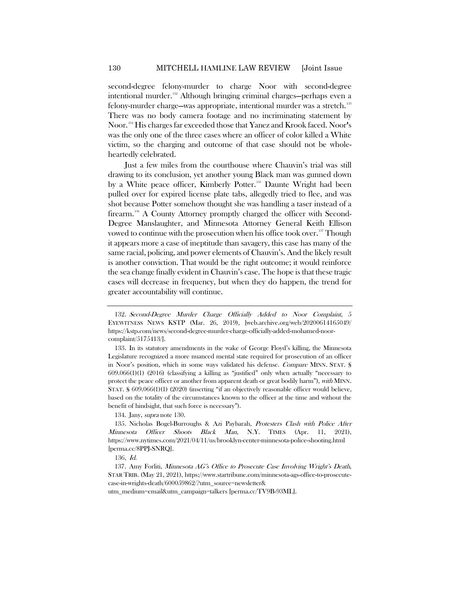second-degree felony-murder to charge Noor with second-degree intentional murder.<sup>[132](#page-20-0)</sup> Although bringing criminal charges—perhaps even a felony-murder charge—was appropriate, intentional murder was a stretch. [133](#page-20-1) There was no body camera footage and no incriminating statement by Noor.[134](#page-20-2) His charges far exceeded those that Yanez and Krook faced. Noor's was the only one of the three cases where an officer of color killed a White victim, so the charging and outcome of that case should not be wholeheartedly celebrated.

Just a few miles from the courthouse where Chauvin's trial was still drawing to its conclusion, yet another young Black man was gunned down by a White peace officer, Kimberly Potter. [135](#page-20-3) Daunte Wright had been pulled over for expired license plate tabs, allegedly tried to flee, and was shot because Potter somehow thought she was handling a taser instead of a firearm.<sup>[136](#page-20-4)</sup> A County Attorney promptly charged the officer with Second-Degree Manslaughter, and Minnesota Attorney General Keith Ellison vowed to continue with the prosecution when his office took over.<sup>[137](#page-20-5)</sup> Though it appears more a case of ineptitude than savagery, this case has many of the same racial, policing, and power elements of Chauvin's. And the likely result is another conviction. That would be the right outcome; it would reinforce the sea change finally evident in Chauvin's case. The hope is that these tragic cases will decrease in frequency, but when they do happen, the trend for greater accountability will continue.

134. Jany, *supra* not[e 130.](#page-19-5)

<span id="page-20-0"></span><sup>132</sup>. Second-Degree Murder Charge Officially Added to Noor Complaint, 5 EYEWITNESS NEWS KSTP (Mar. 26, 2019), [web.archive.org/web/20200614165049/ https://kstp.com/news/second-degree-murder-charge-officially-added-mohamed-noorcomplaint/5175413/].

<span id="page-20-1"></span><sup>133.</sup> In its statutory amendments in the wake of George Floyd's killing, the Minnesota Legislature recognized a more nuanced mental state required for prosecution of an officer in Noor's position, which in some ways validated his defense. Compare MINN. STAT. § 609.066(1)(1) (2016) (classifying a killing as "justified" only when actually "necessary to protect the peace officer or another from apparent death or great bodily harm"), with MINN. STAT. § 609.066(1)(1) (2020) (inserting "if an objectively reasonable officer would believe, based on the totality of the circumstances known to the officer at the time and without the benefit of hindsight, that such force is necessary").

<span id="page-20-3"></span><span id="page-20-2"></span><sup>135.</sup> Nicholas Bogel-Burroughs & Azi Paybarah, Protesters Clash with Police After Minnesota Officer Shoots Black Man, N.Y. TIMES (Apr. 11, 2021), https://www.nytimes.com/2021/04/11/us/brooklyn-center-minnesota-police-shooting.html [perma.cc/8PPJ-SNRQ].

<sup>136,</sup> Id.

<span id="page-20-5"></span><span id="page-20-4"></span><sup>137.</sup> Amy Forliti, Minnesota AG's Office to Prosecute Case Involving Wright's Death, STAR TRIB. (May 21, 2021), https://www.startribune.com/minnesota-ags-office-to-prosecutecase-in-wrights-death/600059862/?utm\_source=newsletter& utm\_medium=email&utm\_campaign=talkers [perma.cc/TV9B-93ML].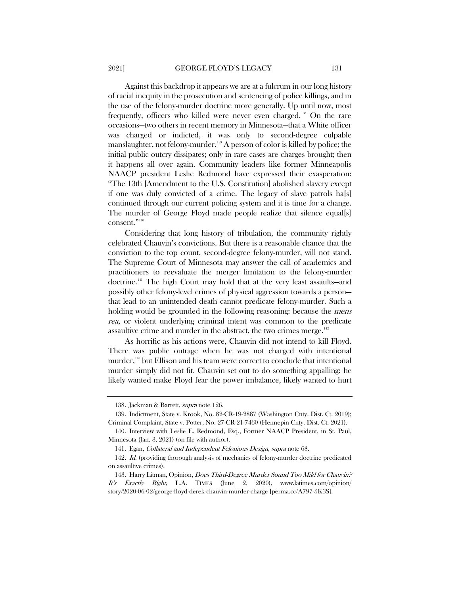Against this backdrop it appears we are at a fulcrum in our long history of racial inequity in the prosecution and sentencing of police killings, and in the use of the felony-murder doctrine more generally. Up until now, most frequently, officers who killed were never even charged.[138](#page-21-0) On the rare occasions—two others in recent memory in Minnesota—that a White officer was charged or indicted, it was only to second-degree culpable manslaughter, not felony-murder.<sup>[139](#page-21-1)</sup> A person of color is killed by police; the initial public outcry dissipates; only in rare cases are charges brought; then it happens all over again. Community leaders like former Minneapolis NAACP president Leslie Redmond have expressed their exasperation: "The 13th [Amendment to the U.S. Constitution] abolished slavery except if one was duly convicted of a crime. The legacy of slave patrols ha[s] continued through our current policing system and it is time for a change. The murder of George Floyd made people realize that silence equal[s] consent."<sup>[140](#page-21-2)</sup>

Considering that long history of tribulation, the community rightly celebrated Chauvin's convictions. But there is a reasonable chance that the conviction to the top count, second-degree felony-murder, will not stand. The Supreme Court of Minnesota may answer the call of academics and practitioners to reevaluate the merger limitation to the felony-murder doctrine.[141](#page-21-3) The high Court may hold that at the very least assaults—and possibly other felony-level crimes of physical aggression towards a person that lead to an unintended death cannot predicate felony-murder. Such a holding would be grounded in the following reasoning: because the *mens* rea, or violent underlying criminal intent was common to the predicate assaultive crime and murder in the abstract, the two crimes merge. $142$ 

As horrific as his actions were, Chauvin did not intend to kill Floyd. There was public outrage when he was not charged with intentional murder,<sup>[143](#page-21-5)</sup> but Ellison and his team were correct to conclude that intentional murder simply did not fit. Chauvin set out to do something appalling: he likely wanted make Floyd fear the power imbalance, likely wanted to hurt

<sup>138.</sup> Jackman & Barrett, supra not[e 126.](#page-18-5)

<span id="page-21-1"></span><span id="page-21-0"></span><sup>139.</sup> Indictment, State v. Krook, No. 82-CR-19-2887 (Washington Cnty. Dist. Ct. 2019); Criminal Complaint, State v. Potter, No. 27-CR-21-7460 (Hennepin Cnty. Dist. Ct. 2021).

<span id="page-21-2"></span><sup>140.</sup> Interview with Leslie E. Redmond, Esq., Former NAACP President, in St. Paul, Minnesota (Jan. 3, 2021) (on file with author).

<sup>141.</sup> Egan, Collateral and Independent Felonious Design, supra note [68.](#page-11-7)

<span id="page-21-4"></span><span id="page-21-3"></span><sup>142.</sup> *Id.* (providing thorough analysis of mechanics of felony-murder doctrine predicated on assaultive crimes).

<span id="page-21-5"></span><sup>143.</sup> Harry Litman, Opinion, Does Third-Degree Murder Sound Too Mild for Chauvin.<sup>2</sup> It's Exactly Right, L.A. TIMES (June 2, 2020), www.latimes.com/opinion/ story/2020-06-02/george-floyd-derek-chauvin-murder-charge [perma.cc/A797-5K3S].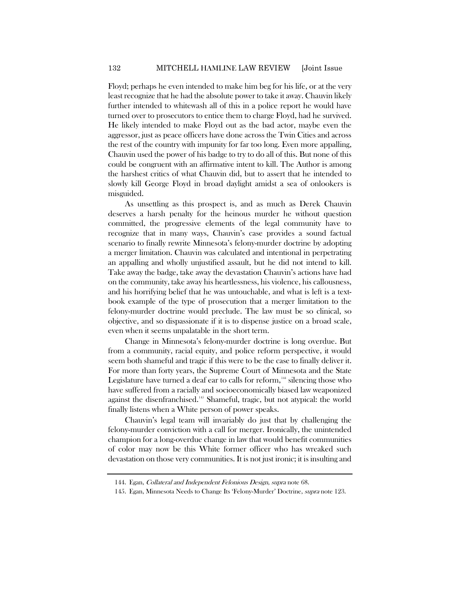Floyd; perhaps he even intended to make him beg for his life, or at the very least recognize that he had the absolute power to take it away. Chauvin likely further intended to whitewash all of this in a police report he would have turned over to prosecutors to entice them to charge Floyd, had he survived. He likely intended to make Floyd out as the bad actor, maybe even the aggressor, just as peace officers have done across the Twin Cities and across the rest of the country with impunity for far too long. Even more appalling, Chauvin used the power of his badge to try to do all of this. But none of this could be congruent with an affirmative intent to kill. The Author is among the harshest critics of what Chauvin did, but to assert that he intended to slowly kill George Floyd in broad daylight amidst a sea of onlookers is misguided.

As unsettling as this prospect is, and as much as Derek Chauvin deserves a harsh penalty for the heinous murder he without question committed, the progressive elements of the legal community have to recognize that in many ways, Chauvin's case provides a sound factual scenario to finally rewrite Minnesota's felony-murder doctrine by adopting a merger limitation. Chauvin was calculated and intentional in perpetrating an appalling and wholly unjustified assault, but he did not intend to kill. Take away the badge, take away the devastation Chauvin's actions have had on the community, take away his heartlessness, his violence, his callousness, and his horrifying belief that he was untouchable, and what is left is a textbook example of the type of prosecution that a merger limitation to the felony-murder doctrine would preclude. The law must be so clinical, so objective, and so dispassionate if it is to dispense justice on a broad scale, even when it seems unpalatable in the short term.

Change in Minnesota's felony-murder doctrine is long overdue. But from a community, racial equity, and police reform perspective, it would seem both shameful and tragic if this were to be the case to finally deliver it. For more than forty years, the Supreme Court of Minnesota and the State Legislature have turned a deaf ear to calls for reform, $144$  silencing those who have suffered from a racially and socioeconomically biased law weaponized against the disenfranchised.<sup>[145](#page-22-1)</sup> Shameful, tragic, but not atypical: the world finally listens when a White person of power speaks.

Chauvin's legal team will invariably do just that by challenging the felony-murder conviction with a call for merger. Ironically, the unintended champion for a long-overdue change in law that would benefit communities of color may now be this White former officer who has wreaked such devastation on those very communities. It is not just ironic; it is insulting and

<sup>144.</sup> Egan, Collateral and Independent Felonious Design, supra note [68.](#page-11-7)

<span id="page-22-1"></span><span id="page-22-0"></span><sup>145.</sup> Egan, Minnesota Needs to Change Its 'Felony-Murder' Doctrine, *supra* note [123.](#page-18-6)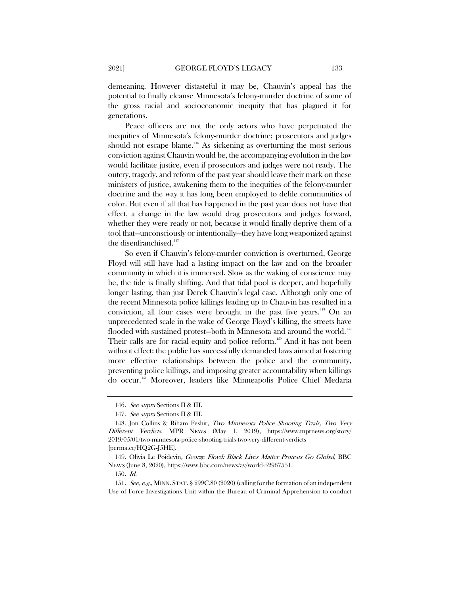demeaning. However distasteful it may be, Chauvin's appeal has the potential to finally cleanse Minnesota's felony-murder doctrine of some of the gross racial and socioeconomic inequity that has plagued it for generations.

Peace officers are not the only actors who have perpetuated the inequities of Minnesota's felony-murder doctrine; prosecutors and judges should not escape blame.<sup>[146](#page-23-0)</sup> As sickening as overturning the most serious conviction against Chauvin would be, the accompanying evolution in the law would facilitate justice, even if prosecutors and judges were not ready. The outcry, tragedy, and reform of the past year should leave their mark on these ministers of justice, awakening them to the inequities of the felony-murder doctrine and the way it has long been employed to defile communities of color. But even if all that has happened in the past year does not have that effect, a change in the law would drag prosecutors and judges forward, whether they were ready or not, because it would finally deprive them of a tool that—unconsciously or intentionally—they have long weaponized against the disenfranchised.<sup>[147](#page-23-1)</sup>

So even if Chauvin's felony-murder conviction is overturned, George Floyd will still have had a lasting impact on the law and on the broader community in which it is immersed. Slow as the waking of conscience may be, the tide is finally shifting. And that tidal pool is deeper, and hopefully longer lasting, than just Derek Chauvin's legal case. Although only one of the recent Minnesota police killings leading up to Chauvin has resulted in a conviction, all four cases were brought in the past five years.<sup>[148](#page-23-2)</sup> On an unprecedented scale in the wake of George Floyd's killing, the streets have flooded with sustained protest—both in Minnesota and around the world.<sup>[149](#page-23-3)</sup> Their calls are for racial equity and police reform.<sup>[150](#page-23-4)</sup> And it has not been without effect: the public has successfully demanded laws aimed at fostering more effective relationships between the police and the community, preventing police killings, and imposing greater accountability when killings do occur[.151](#page-23-5) Moreover, leaders like Minneapolis Police Chief Medaria

<sup>146.</sup> See supra Sections II & III.

<sup>147.</sup> See supra Sections II & III.

<span id="page-23-2"></span><span id="page-23-1"></span><span id="page-23-0"></span><sup>148.</sup> Jon Collins & Riham Feshir, Two Minnesota Police Shooting Trials, Two Very Different Verdicts, MPR NEWS (May 1, 2019), https://www.mprnews.org/story/ 2019/05/01/two-minnesota-police-shooting-trials-two-very-different-verdicts [perma.cc/HQ2G-J5HE].

<span id="page-23-3"></span><sup>149.</sup> Olivia Le Poidevin, George Floyd: Black Lives Matter Protests Go Global, BBC NEWS (June 8, 2020), https://www.bbc.com/news/av/world-52967551.

<sup>150</sup>. Id.

<span id="page-23-5"></span><span id="page-23-4"></span><sup>151.</sup> See, e.g., MINN. STAT. § 299C.80 (2020) (calling for the formation of an independent Use of Force Investigations Unit within the Bureau of Criminal Apprehension to conduct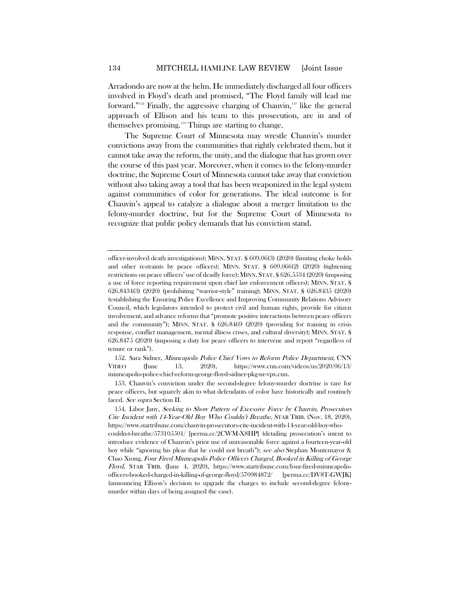Arradondo are now at the helm. He immediately discharged all four officers involved in Floyd's death and promised, "The Floyd family will lead me forward."<sup>[152](#page-24-0)</sup> Finally, the aggressive charging of Chauvin, $153$  like the general approach of Ellison and his team to this prosecution, are in and of themselves promising.[154](#page-24-2) Things are starting to change.

The Supreme Court of Minnesota may wrestle Chauvin's murder convictions away from the communities that rightly celebrated them, but it cannot take away the reform, the unity, and the dialogue that has grown over the course of this past year. Moreover, when it comes to the felony-murder doctrine, the Supreme Court of Minnesota cannot take away that conviction without also taking away a tool that has been weaponized in the legal system against communities of color for generations. The ideal outcome is for Chauvin's appeal to catalyze a dialogue about a merger limitation to the felony-murder doctrine, but for the Supreme Court of Minnesota to recognize that public policy demands that his conviction stand.

<span id="page-24-1"></span>153. Chauvin's conviction under the second-degree felony-murder doctrine is rare for peace officers, but squarely akin to what defendants of color have historically and routinely faced. See supra Section II.

officer-involved death investigations); MINN. STAT. § 609.06(3) (2020) (limiting choke holds and other restraints by peace officers); MINN. STAT. § 609.066(2) (2020) (tightening restrictions on peace officers' use of deadly force); MINN. STAT. § 626.5534 (2020) (imposing a use of force reporting requirement upon chief law enforcement officers); MINN. STAT. § 626.8434(3) (2020) (prohibiting "warrior-style" training); MINN. STAT. § 626.8435 (2020) (establishing the Ensuring Police Excellence and Improving Community Relations Advisory Council, which legislators intended to protect civil and human rights, provide for citizen involvement, and advance reforms that "promote positive interactions between peace officers and the community"); MINN. STAT. § 626.8469 (2020) (providing for training in crisis response, conflict management, mental illness crises, and cultural diversity); MINN. STAT. § 626.8475 (2020) (imposing a duty for peace officers to intervene and report "regardless of tenure or rank").

<span id="page-24-0"></span><sup>152.</sup> Sara Sidner, Minneapolis Police Chief Vows to Reform Police Department, CNN VIDEO (June 13, 2020), https://www.cnn.com/videos/us/2020/06/13/ minneapolis-police-chief-reform-george-floyd-sidner-pkg-nr-vpx.cnn.

<span id="page-24-2"></span><sup>154.</sup> Libor Jany, Seeking to Show Pattern of Excessive Force by Chauvin, Prosecutors Cite Incident with 14-Year-Old Boy Who Couldn't Breathe, STAR TRIB. (Nov. 18, 2020), https://www.startribune.com/chauvin-prosecutors-cite-incident-with-14-year-old-boy-whocouldn-t-breathe/573105501/ [perma.cc/2CWM-X8HP] (detailing prosecution's intent to introduce evidence of Chauvin's prior use of unreasonable force against a fourteen-year-old boy while "ignoring his pleas that he could not breath"); see also Stephan Montemayor & Chao Xiong, Four Fired Minneapolis Police Officers Charged, Booked in Killing of George Floyd, STAR TRIB. (June 4, 2020), https://www.startribune.com/four-fired-minneapolisofficers-booked-charged-in-killing-of-george-floyd/570984872/ [perma.cc/DV8T-GWJK] (announcing Ellison's decision to upgrade the charges to include second-degree felonymurder within days of being assigned the case).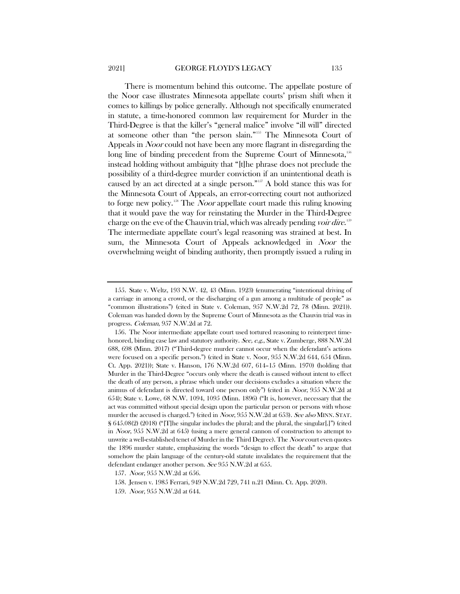There is momentum behind this outcome. The appellate posture of the Noor case illustrates Minnesota appellate courts' prism shift when it comes to killings by police generally. Although not specifically enumerated in statute, a time-honored common law requirement for Murder in the Third-Degree is that the killer's "general malice" involve "ill will" directed at someone other than "the person slain."[155](#page-25-0) The Minnesota Court of Appeals in Noor could not have been any more flagrant in disregarding the long line of binding precedent from the Supreme Court of Minnesota,<sup>[156](#page-25-1)</sup> instead holding without ambiguity that "[t]he phrase does not preclude the possibility of a third-degree murder conviction if an unintentional death is caused by an act directed at a single person."[157](#page-25-2) A bold stance this was for the Minnesota Court of Appeals, an error-correcting court not authorized to forge new policy.<sup>[158](#page-25-3)</sup> The *Noor* appellate court made this ruling knowing that it would pave the way for reinstating the Murder in the Third-Degree charge on the eve of the Chauvin trial, which was already pending voir dire.<sup>[159](#page-25-4)</sup> The intermediate appellate court's legal reasoning was strained at best. In sum, the Minnesota Court of Appeals acknowledged in Noor the overwhelming weight of binding authority, then promptly issued a ruling in

<span id="page-25-0"></span><sup>155.</sup> State v. Weltz, 193 N.W. 42, 43 (Minn. 1923) (enumerating "intentional driving of a carriage in among a crowd, or the discharging of a gun among a multitude of people" as "common illustrations") (cited in State v. Coleman, 957 N.W.2d 72, 78 (Minn. 2021)). Coleman was handed down by the Supreme Court of Minnesota as the Chauvin trial was in progress. Coleman, 957 N.W.2d at 72.

<span id="page-25-1"></span><sup>156.</sup> The Noor intermediate appellate court used tortured reasoning to reinterpret timehonored, binding case law and statutory authority. See, e.g., State v. Zumberge, 888 N.W.2d 688, 698 (Minn. 2017) ("Third-degree murder cannot occur when the defendant's actions were focused on a specific person.") (cited in State v. Noor, 955 N.W.2d 644, 654 (Minn. Ct. App. 2021)); State v. Hanson, 176 N.W.2d 607, 614–15 (Minn. 1970) (holding that Murder in the Third-Degree "occurs only where the death is caused without intent to effect the death of any person, a phrase which under our decisions excludes a situation where the animus of defendant is directed toward one person only") (cited in Noor, 955 N.W.2d at 654); State v. Lowe, 68 N.W. 1094, 1095 (Minn. 1896) ("It is, however, necessary that the act was committed without special design upon the particular person or persons with whose murder the accused is charged.") (cited in *Noor*, 955 N.W.2d at 653). See also MINN. STAT. § 645.08(2) (2018) ("[T]he singular includes the plural; and the plural, the singular[.]") (cited in Noor, 955 N.W.2d at 645) (using a mere general cannon of construction to attempt to unwrite a well-established tenet of Murder in the Third Degree). The Noor court even quotes the 1896 murder statute, emphasizing the words "design to effect the death" to argue that somehow the plain language of the century-old statute invalidates the requirement that the defendant endanger another person. See 955 N.W.2d at 655.

<span id="page-25-2"></span><sup>157.</sup> Noor, 955 N.W.2d at 656.

<sup>158.</sup> Jensen v. 1985 Ferrari, 949 N.W.2d 729, 741 n.21 (Minn. Ct. App. 2020).

<span id="page-25-4"></span><span id="page-25-3"></span><sup>159.</sup> Noor, 955 N.W.2d at 644.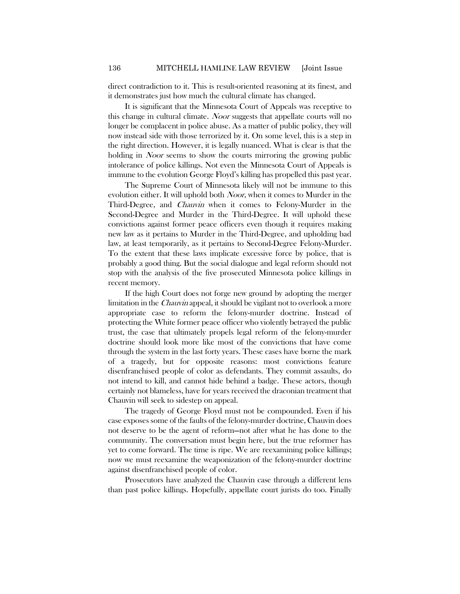direct contradiction to it. This is result-oriented reasoning at its finest, and it demonstrates just how much the cultural climate has changed.

It is significant that the Minnesota Court of Appeals was receptive to this change in cultural climate. Noor suggests that appellate courts will no longer be complacent in police abuse. As a matter of public policy, they will now instead side with those terrorized by it. On some level, this is a step in the right direction. However, it is legally nuanced. What is clear is that the holding in *Noor* seems to show the courts mirroring the growing public intolerance of police killings. Not even the Minnesota Court of Appeals is immune to the evolution George Floyd's killing has propelled this past year.

The Supreme Court of Minnesota likely will not be immune to this evolution either. It will uphold both *Noor*, when it comes to Murder in the Third-Degree, and Chauvin when it comes to Felony-Murder in the Second-Degree and Murder in the Third-Degree. It will uphold these convictions against former peace officers even though it requires making new law as it pertains to Murder in the Third-Degree, and upholding bad law, at least temporarily, as it pertains to Second-Degree Felony-Murder. To the extent that these laws implicate excessive force by police, that is probably a good thing. But the social dialogue and legal reform should not stop with the analysis of the five prosecuted Minnesota police killings in recent memory.

If the high Court does not forge new ground by adopting the merger limitation in the *Chauvin* appeal, it should be vigilant not to overlook a more appropriate case to reform the felony-murder doctrine. Instead of protecting the White former peace officer who violently betrayed the public trust, the case that ultimately propels legal reform of the felony-murder doctrine should look more like most of the convictions that have come through the system in the last forty years. These cases have borne the mark of a tragedy, but for opposite reasons: most convictions feature disenfranchised people of color as defendants. They commit assaults, do not intend to kill, and cannot hide behind a badge. These actors, though certainly not blameless, have for years received the draconian treatment that Chauvin will seek to sidestep on appeal.

The tragedy of George Floyd must not be compounded. Even if his case exposes some of the faults of the felony-murder doctrine, Chauvin does not deserve to be the agent of reform—not after what he has done to the community. The conversation must begin here, but the true reformer has yet to come forward. The time is ripe. We are reexamining police killings; now we must reexamine the weaponization of the felony-murder doctrine against disenfranchised people of color.

Prosecutors have analyzed the Chauvin case through a different lens than past police killings. Hopefully, appellate court jurists do too. Finally